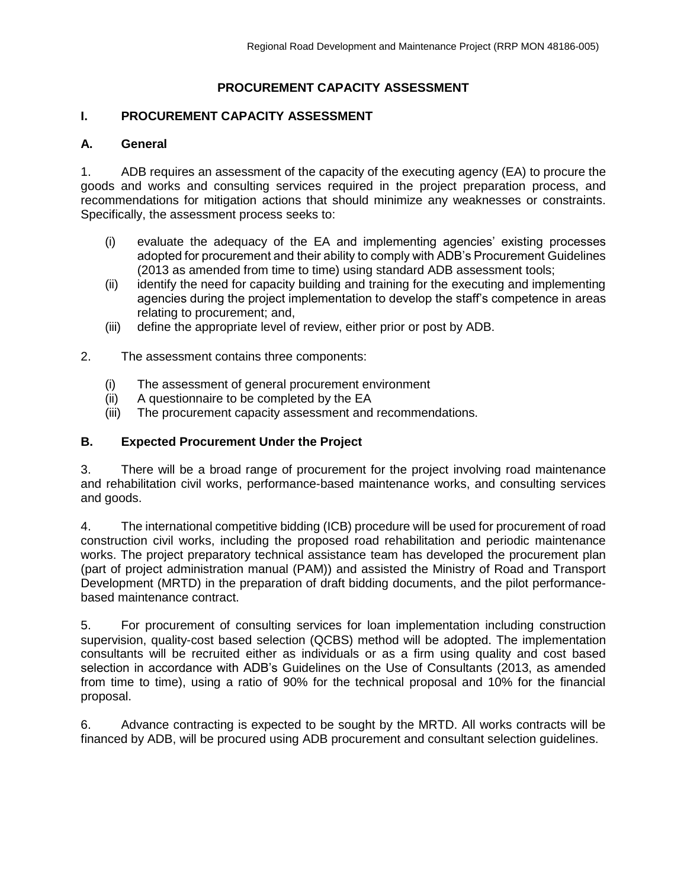# **PROCUREMENT CAPACITY ASSESSMENT**

## **I. PROCUREMENT CAPACITY ASSESSMENT**

### **A. General**

1. ADB requires an assessment of the capacity of the executing agency (EA) to procure the goods and works and consulting services required in the project preparation process, and recommendations for mitigation actions that should minimize any weaknesses or constraints. Specifically, the assessment process seeks to:

- (i) evaluate the adequacy of the EA and implementing agencies' existing processes adopted for procurement and their ability to comply with ADB's Procurement Guidelines (2013 as amended from time to time) using standard ADB assessment tools;
- (ii) identify the need for capacity building and training for the executing and implementing agencies during the project implementation to develop the staff's competence in areas relating to procurement; and,
- (iii) define the appropriate level of review, either prior or post by ADB.
- 2. The assessment contains three components:
	- (i) The assessment of general procurement environment
	- (ii) A questionnaire to be completed by the EA
	- (iii) The procurement capacity assessment and recommendations.

## **B. Expected Procurement Under the Project**

3. There will be a broad range of procurement for the project involving road maintenance and rehabilitation civil works, performance-based maintenance works, and consulting services and goods.

4. The international competitive bidding (ICB) procedure will be used for procurement of road construction civil works, including the proposed road rehabilitation and periodic maintenance works. The project preparatory technical assistance team has developed the procurement plan (part of project administration manual (PAM)) and assisted the Ministry of Road and Transport Development (MRTD) in the preparation of draft bidding documents, and the pilot performancebased maintenance contract.

5. For procurement of consulting services for loan implementation including construction supervision, quality-cost based selection (QCBS) method will be adopted. The implementation consultants will be recruited either as individuals or as a firm using quality and cost based selection in accordance with ADB's Guidelines on the Use of Consultants (2013, as amended from time to time), using a ratio of 90% for the technical proposal and 10% for the financial proposal.

6. Advance contracting is expected to be sought by the MRTD. All works contracts will be financed by ADB, will be procured using ADB procurement and consultant selection guidelines.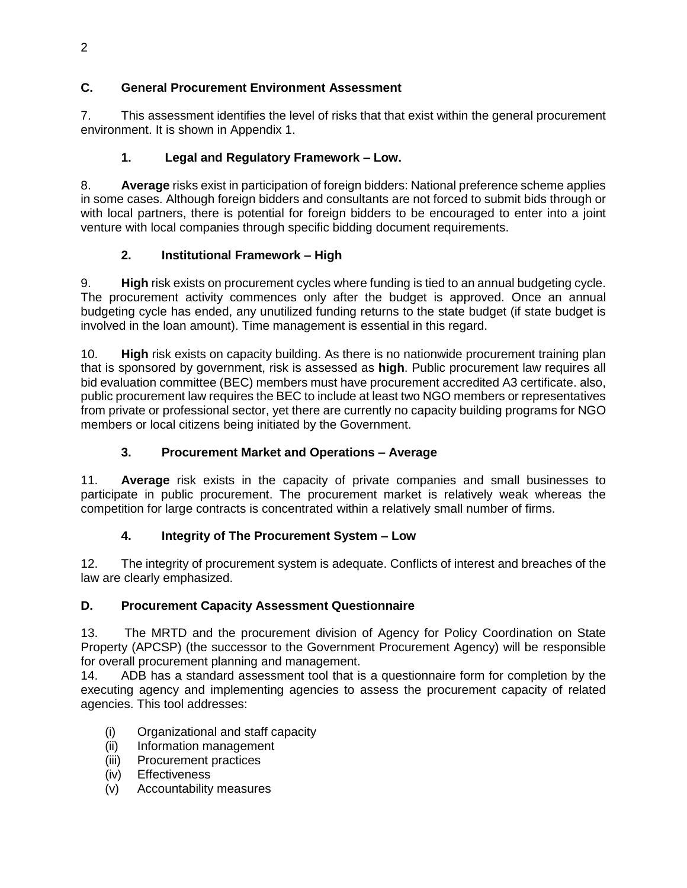# **C. General Procurement Environment Assessment**

7. This assessment identifies the level of risks that that exist within the general procurement environment. It is shown in Appendix 1.

# **1. Legal and Regulatory Framework – Low.**

8. **Average** risks exist in participation of foreign bidders: National preference scheme applies in some cases. Although foreign bidders and consultants are not forced to submit bids through or with local partners, there is potential for foreign bidders to be encouraged to enter into a joint venture with local companies through specific bidding document requirements.

# **2. Institutional Framework – High**

9. **High** risk exists on procurement cycles where funding is tied to an annual budgeting cycle. The procurement activity commences only after the budget is approved. Once an annual budgeting cycle has ended, any unutilized funding returns to the state budget (if state budget is involved in the loan amount). Time management is essential in this regard.

10. **High** risk exists on capacity building. As there is no nationwide procurement training plan that is sponsored by government, risk is assessed as **high**. Public procurement law requires all bid evaluation committee (BEC) members must have procurement accredited A3 certificate. also, public procurement law requires the BEC to include at least two NGO members or representatives from private or professional sector, yet there are currently no capacity building programs for NGO members or local citizens being initiated by the Government.

# **3. Procurement Market and Operations – Average**

11. **Average** risk exists in the capacity of private companies and small businesses to participate in public procurement. The procurement market is relatively weak whereas the competition for large contracts is concentrated within a relatively small number of firms.

# **4. Integrity of The Procurement System – Low**

12. The integrity of procurement system is adequate. Conflicts of interest and breaches of the law are clearly emphasized.

# **D. Procurement Capacity Assessment Questionnaire**

13. The MRTD and the procurement division of Agency for Policy Coordination on State Property (APCSP) (the successor to the Government Procurement Agency) will be responsible for overall procurement planning and management.

14. ADB has a standard assessment tool that is a questionnaire form for completion by the executing agency and implementing agencies to assess the procurement capacity of related agencies. This tool addresses:

- (i) Organizational and staff capacity
- (ii) Information management
- (iii) Procurement practices
- (iv) Effectiveness
- (v) Accountability measures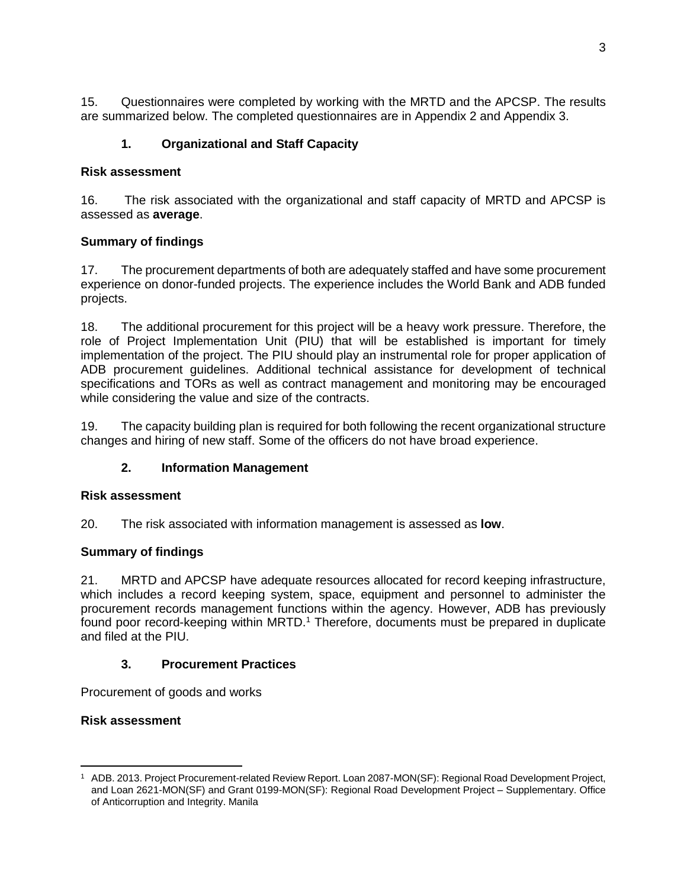15. Questionnaires were completed by working with the MRTD and the APCSP. The results are summarized below. The completed questionnaires are in Appendix 2 and Appendix 3.

# **1. Organizational and Staff Capacity**

## **Risk assessment**

16. The risk associated with the organizational and staff capacity of MRTD and APCSP is assessed as **average**.

# **Summary of findings**

17. The procurement departments of both are adequately staffed and have some procurement experience on donor-funded projects. The experience includes the World Bank and ADB funded projects.

18. The additional procurement for this project will be a heavy work pressure. Therefore, the role of Project Implementation Unit (PIU) that will be established is important for timely implementation of the project. The PIU should play an instrumental role for proper application of ADB procurement guidelines. Additional technical assistance for development of technical specifications and TORs as well as contract management and monitoring may be encouraged while considering the value and size of the contracts.

19. The capacity building plan is required for both following the recent organizational structure changes and hiring of new staff. Some of the officers do not have broad experience.

# **2. Information Management**

## **Risk assessment**

20. The risk associated with information management is assessed as **low**.

# **Summary of findings**

21. MRTD and APCSP have adequate resources allocated for record keeping infrastructure, which includes a record keeping system, space, equipment and personnel to administer the procurement records management functions within the agency. However, ADB has previously found poor record-keeping within MRTD.<sup>1</sup> Therefore, documents must be prepared in duplicate and filed at the PIU.

## **3. Procurement Practices**

Procurement of goods and works

# **Risk assessment**

 $\overline{a}$ <sup>1</sup> ADB. 2013. Project Procurement-related Review Report. Loan 2087-MON(SF): Regional Road Development Project, and Loan 2621-MON(SF) and Grant 0199-MON(SF): Regional Road Development Project – Supplementary. Office of Anticorruption and Integrity. Manila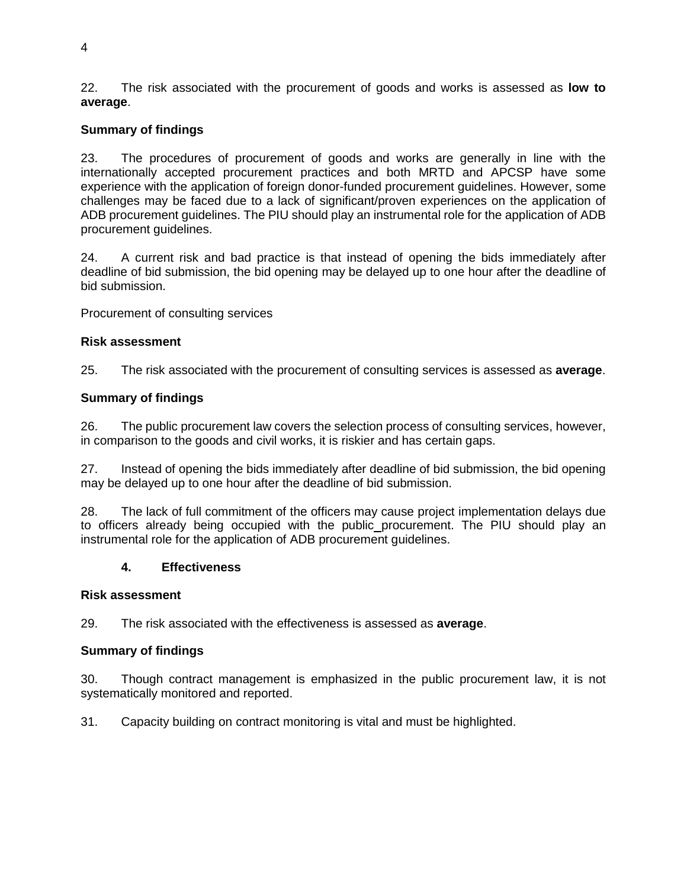22. The risk associated with the procurement of goods and works is assessed as **low to average**.

## **Summary of findings**

23. The procedures of procurement of goods and works are generally in line with the internationally accepted procurement practices and both MRTD and APCSP have some experience with the application of foreign donor-funded procurement guidelines. However, some challenges may be faced due to a lack of significant/proven experiences on the application of ADB procurement guidelines. The PIU should play an instrumental role for the application of ADB procurement guidelines.

24. A current risk and bad practice is that instead of opening the bids immediately after deadline of bid submission, the bid opening may be delayed up to one hour after the deadline of bid submission.

Procurement of consulting services

#### **Risk assessment**

25. The risk associated with the procurement of consulting services is assessed as **average**.

## **Summary of findings**

26. The public procurement law covers the selection process of consulting services, however, in comparison to the goods and civil works, it is riskier and has certain gaps.

27. Instead of opening the bids immediately after deadline of bid submission, the bid opening may be delayed up to one hour after the deadline of bid submission.

28. The lack of full commitment of the officers may cause project implementation delays due to officers already being occupied with the public procurement. The PIU should play an instrumental role for the application of ADB procurement guidelines.

#### **4. Effectiveness**

#### **Risk assessment**

29. The risk associated with the effectiveness is assessed as **average**.

## **Summary of findings**

30. Though contract management is emphasized in the public procurement law, it is not systematically monitored and reported.

31. Capacity building on contract monitoring is vital and must be highlighted.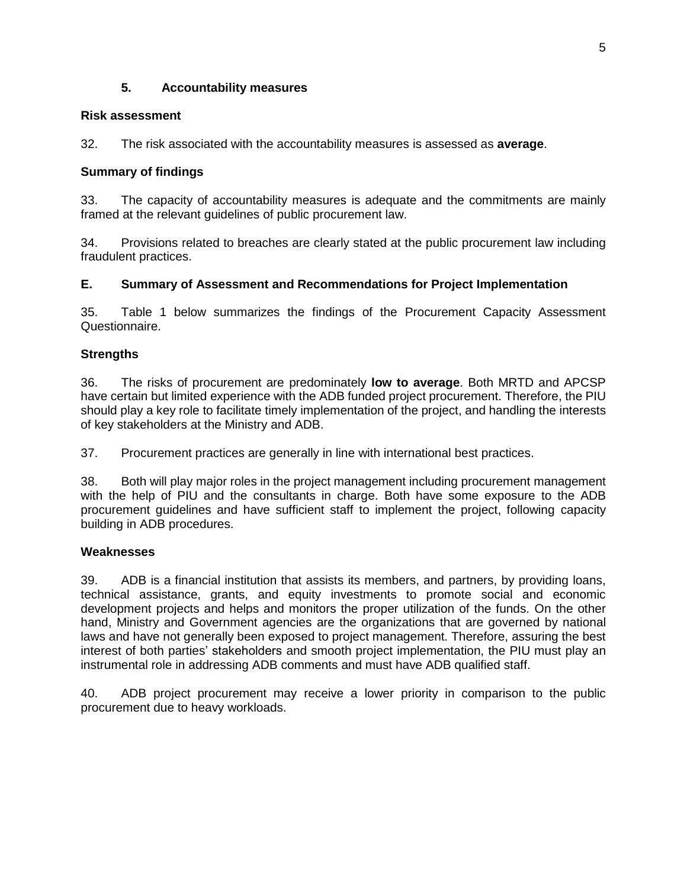## **5. Accountability measures**

## **Risk assessment**

32. The risk associated with the accountability measures is assessed as **average**.

## **Summary of findings**

33. The capacity of accountability measures is adequate and the commitments are mainly framed at the relevant guidelines of public procurement law.

34. Provisions related to breaches are clearly stated at the public procurement law including fraudulent practices.

## **E. Summary of Assessment and Recommendations for Project Implementation**

35. Table 1 below summarizes the findings of the Procurement Capacity Assessment Questionnaire.

## **Strengths**

36. The risks of procurement are predominately **low to average**. Both MRTD and APCSP have certain but limited experience with the ADB funded project procurement. Therefore, the PIU should play a key role to facilitate timely implementation of the project, and handling the interests of key stakeholders at the Ministry and ADB.

37. Procurement practices are generally in line with international best practices.

38. Both will play major roles in the project management including procurement management with the help of PIU and the consultants in charge. Both have some exposure to the ADB procurement guidelines and have sufficient staff to implement the project, following capacity building in ADB procedures.

## **Weaknesses**

39. ADB is a financial institution that assists its members, and partners, by providing loans, technical assistance, grants, and equity investments to promote social and economic development projects and helps and monitors the proper utilization of the funds. On the other hand, Ministry and Government agencies are the organizations that are governed by national laws and have not generally been exposed to project management. Therefore, assuring the best interest of both parties' stakeholders and smooth project implementation, the PIU must play an instrumental role in addressing ADB comments and must have ADB qualified staff.

40. ADB project procurement may receive a lower priority in comparison to the public procurement due to heavy workloads.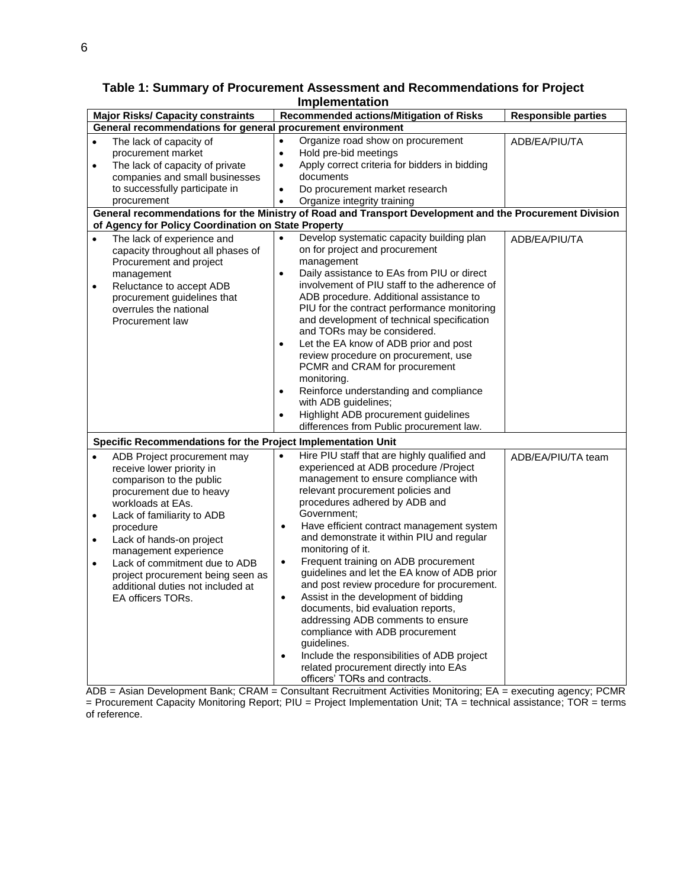|           | <b>Major Risks/ Capacity constraints</b>                                                   |                        | Recommended actions/Mitigation of Risks                                                                 | <b>Responsible parties</b> |
|-----------|--------------------------------------------------------------------------------------------|------------------------|---------------------------------------------------------------------------------------------------------|----------------------------|
|           | General recommendations for general procurement environment                                |                        |                                                                                                         |                            |
| $\bullet$ | The lack of capacity of<br>procurement market                                              | $\bullet$<br>$\bullet$ | Organize road show on procurement<br>Hold pre-bid meetings                                              | ADB/EA/PIU/TA              |
| $\bullet$ | The lack of capacity of private                                                            | $\bullet$              | Apply correct criteria for bidders in bidding                                                           |                            |
|           | companies and small businesses                                                             |                        | documents                                                                                               |                            |
|           | to successfully participate in                                                             | $\bullet$              | Do procurement market research                                                                          |                            |
|           | procurement                                                                                | $\bullet$              | Organize integrity training                                                                             |                            |
|           |                                                                                            |                        | General recommendations for the Ministry of Road and Transport Development and the Procurement Division |                            |
|           | of Agency for Policy Coordination on State Property                                        |                        |                                                                                                         |                            |
| $\bullet$ | The lack of experience and<br>capacity throughout all phases of<br>Procurement and project | $\bullet$              | Develop systematic capacity building plan<br>on for project and procurement<br>management               | ADB/EA/PIU/TA              |
|           | management                                                                                 | $\bullet$              | Daily assistance to EAs from PIU or direct                                                              |                            |
| $\bullet$ | Reluctance to accept ADB                                                                   |                        | involvement of PIU staff to the adherence of                                                            |                            |
|           | procurement guidelines that                                                                |                        | ADB procedure. Additional assistance to                                                                 |                            |
|           | overrules the national                                                                     |                        | PIU for the contract performance monitoring                                                             |                            |
|           | Procurement law                                                                            |                        | and development of technical specification                                                              |                            |
|           |                                                                                            |                        | and TORs may be considered.                                                                             |                            |
|           |                                                                                            | $\bullet$              | Let the EA know of ADB prior and post                                                                   |                            |
|           |                                                                                            |                        | review procedure on procurement, use<br>PCMR and CRAM for procurement                                   |                            |
|           |                                                                                            |                        | monitoring.                                                                                             |                            |
|           |                                                                                            | $\bullet$              | Reinforce understanding and compliance<br>with ADB guidelines;                                          |                            |
|           |                                                                                            | $\bullet$              | Highlight ADB procurement guidelines                                                                    |                            |
|           |                                                                                            |                        | differences from Public procurement law.                                                                |                            |
|           | Specific Recommendations for the Project Implementation Unit                               |                        |                                                                                                         |                            |
| $\bullet$ | ADB Project procurement may                                                                | $\bullet$              | Hire PIU staff that are highly qualified and                                                            | ADB/EA/PIU/TA team         |
|           | receive lower priority in                                                                  |                        | experienced at ADB procedure /Project                                                                   |                            |
|           | comparison to the public                                                                   |                        | management to ensure compliance with                                                                    |                            |
|           | procurement due to heavy                                                                   |                        | relevant procurement policies and                                                                       |                            |
|           | workloads at EAs.                                                                          |                        | procedures adhered by ADB and                                                                           |                            |
| $\bullet$ | Lack of familiarity to ADB                                                                 |                        | Government;                                                                                             |                            |
|           | procedure                                                                                  | $\bullet$              | Have efficient contract management system<br>and demonstrate it within PIU and regular                  |                            |
| $\bullet$ | Lack of hands-on project                                                                   |                        | monitoring of it.                                                                                       |                            |
| $\bullet$ | management experience<br>Lack of commitment due to ADB                                     | $\bullet$              | Frequent training on ADB procurement                                                                    |                            |
|           | project procurement being seen as                                                          |                        | guidelines and let the EA know of ADB prior                                                             |                            |
|           | additional duties not included at                                                          |                        | and post review procedure for procurement.                                                              |                            |
|           | EA officers TORs.                                                                          | $\bullet$              | Assist in the development of bidding                                                                    |                            |
|           |                                                                                            |                        | documents, bid evaluation reports,                                                                      |                            |
|           |                                                                                            |                        | addressing ADB comments to ensure                                                                       |                            |
|           |                                                                                            |                        | compliance with ADB procurement                                                                         |                            |
|           |                                                                                            |                        | guidelines.                                                                                             |                            |
|           |                                                                                            | $\bullet$              | Include the responsibilities of ADB project                                                             |                            |
|           |                                                                                            |                        | related procurement directly into EAs                                                                   |                            |
|           |                                                                                            |                        | officers' TORs and contracts.                                                                           |                            |

ADB = Asian Development Bank; CRAM = Consultant Recruitment Activities Monitoring; EA = executing agency; PCMR = Procurement Capacity Monitoring Report; PIU = Project Implementation Unit; TA = technical assistance; TOR = terms of reference.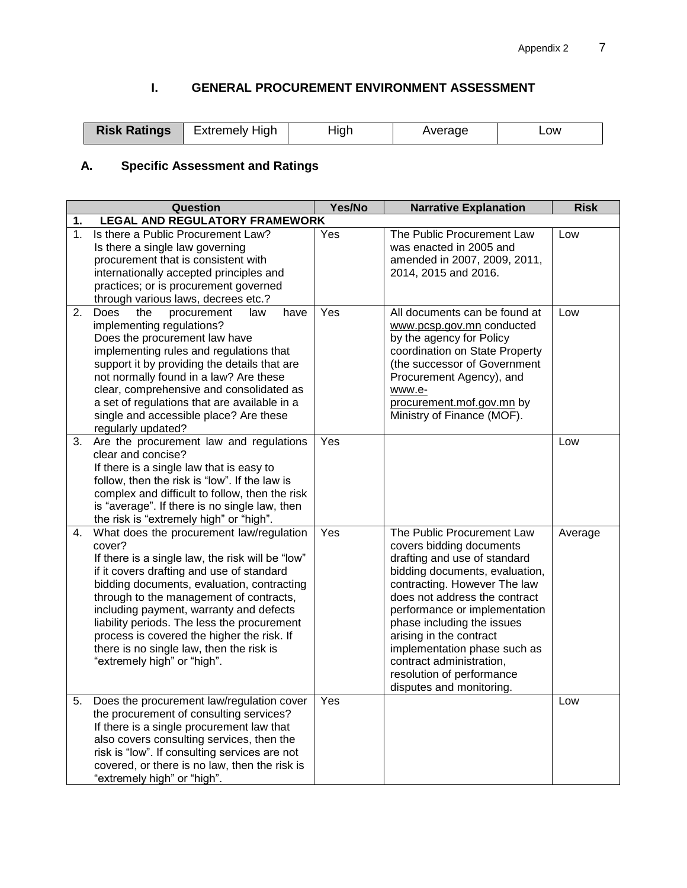# **I. GENERAL PROCUREMENT ENVIRONMENT ASSESSMENT**

| <b>Risk Ratings</b><br>High<br>Extremelv '<br>diah<br>werage<br>_OW |
|---------------------------------------------------------------------|
|---------------------------------------------------------------------|

# **A. Specific Assessment and Ratings**

|    | Question                                                                                                                                                                                                                                                                                                                                                                                                                                                        | Yes/No | <b>Narrative Explanation</b>                                                                                                                                                                                                                                                                                                                                                                             | <b>Risk</b> |
|----|-----------------------------------------------------------------------------------------------------------------------------------------------------------------------------------------------------------------------------------------------------------------------------------------------------------------------------------------------------------------------------------------------------------------------------------------------------------------|--------|----------------------------------------------------------------------------------------------------------------------------------------------------------------------------------------------------------------------------------------------------------------------------------------------------------------------------------------------------------------------------------------------------------|-------------|
| 1. | <b>LEGAL AND REGULATORY FRAMEWORK</b>                                                                                                                                                                                                                                                                                                                                                                                                                           |        |                                                                                                                                                                                                                                                                                                                                                                                                          |             |
| 1. | Is there a Public Procurement Law?<br>Is there a single law governing<br>procurement that is consistent with<br>internationally accepted principles and<br>practices; or is procurement governed<br>through various laws, decrees etc.?                                                                                                                                                                                                                         | Yes    | The Public Procurement Law<br>was enacted in 2005 and<br>amended in 2007, 2009, 2011,<br>2014, 2015 and 2016.                                                                                                                                                                                                                                                                                            | Low         |
| 2. | Does<br>the<br>procurement<br>have<br>law<br>implementing regulations?<br>Does the procurement law have<br>implementing rules and regulations that<br>support it by providing the details that are<br>not normally found in a law? Are these<br>clear, comprehensive and consolidated as<br>a set of regulations that are available in a<br>single and accessible place? Are these<br>regularly updated?                                                        | Yes    | All documents can be found at<br>www.pcsp.gov.mn conducted<br>by the agency for Policy<br>coordination on State Property<br>(the successor of Government<br>Procurement Agency), and<br>www.e-<br>procurement.mof.gov.mn by<br>Ministry of Finance (MOF).                                                                                                                                                | Low         |
| 3. | Are the procurement law and regulations<br>clear and concise?<br>If there is a single law that is easy to<br>follow, then the risk is "low". If the law is<br>complex and difficult to follow, then the risk<br>is "average". If there is no single law, then<br>the risk is "extremely high" or "high".                                                                                                                                                        | Yes    |                                                                                                                                                                                                                                                                                                                                                                                                          | Low         |
| 4. | What does the procurement law/regulation<br>cover?<br>If there is a single law, the risk will be "low"<br>if it covers drafting and use of standard<br>bidding documents, evaluation, contracting<br>through to the management of contracts,<br>including payment, warranty and defects<br>liability periods. The less the procurement<br>process is covered the higher the risk. If<br>there is no single law, then the risk is<br>"extremely high" or "high". | Yes    | The Public Procurement Law<br>covers bidding documents<br>drafting and use of standard<br>bidding documents, evaluation,<br>contracting. However The law<br>does not address the contract<br>performance or implementation<br>phase including the issues<br>arising in the contract<br>implementation phase such as<br>contract administration,<br>resolution of performance<br>disputes and monitoring. | Average     |
| 5. | Does the procurement law/regulation cover<br>the procurement of consulting services?<br>If there is a single procurement law that<br>also covers consulting services, then the<br>risk is "low". If consulting services are not<br>covered, or there is no law, then the risk is<br>"extremely high" or "high".                                                                                                                                                 | Yes    |                                                                                                                                                                                                                                                                                                                                                                                                          | Low         |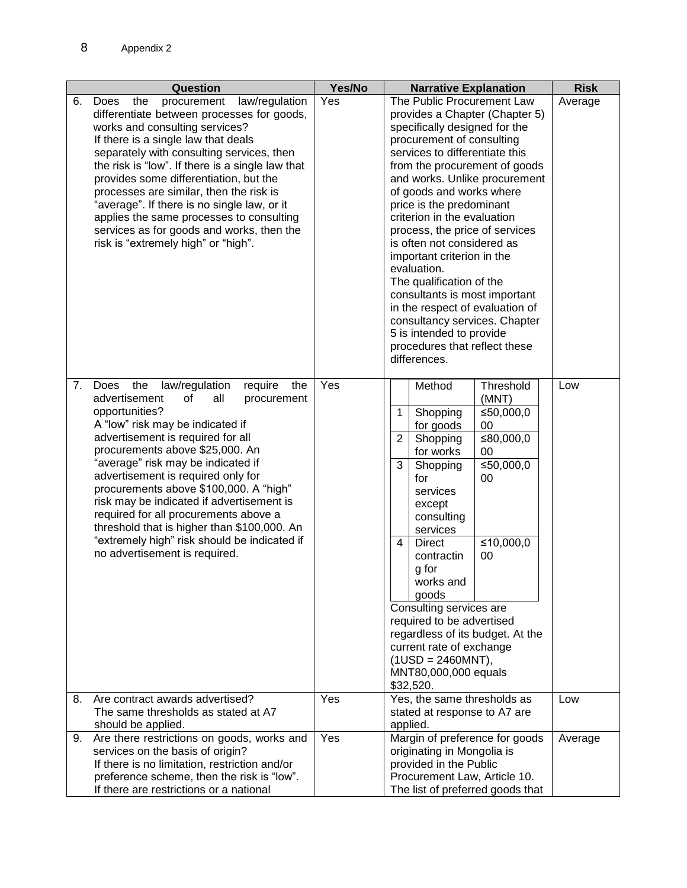|    | Question                                                                                                                                                                                                                                                                                                                                                                                                                                                                                                                                                               | Yes/No | <b>Narrative Explanation</b>                                                                                                                                                                                                                                                                                                                                                                                                                                                                                                             | <b>Risk</b> |
|----|------------------------------------------------------------------------------------------------------------------------------------------------------------------------------------------------------------------------------------------------------------------------------------------------------------------------------------------------------------------------------------------------------------------------------------------------------------------------------------------------------------------------------------------------------------------------|--------|------------------------------------------------------------------------------------------------------------------------------------------------------------------------------------------------------------------------------------------------------------------------------------------------------------------------------------------------------------------------------------------------------------------------------------------------------------------------------------------------------------------------------------------|-------------|
| 6. | law/regulation<br>Does<br>procurement<br>the<br>differentiate between processes for goods,<br>works and consulting services?<br>If there is a single law that deals<br>separately with consulting services, then<br>the risk is "low". If there is a single law that                                                                                                                                                                                                                                                                                                   | Yes    | The Public Procurement Law<br>provides a Chapter (Chapter 5)<br>specifically designed for the<br>procurement of consulting<br>services to differentiate this                                                                                                                                                                                                                                                                                                                                                                             | Average     |
|    | provides some differentiation, but the<br>processes are similar, then the risk is<br>"average". If there is no single law, or it<br>applies the same processes to consulting<br>services as for goods and works, then the<br>risk is "extremely high" or "high".                                                                                                                                                                                                                                                                                                       |        | from the procurement of goods<br>and works. Unlike procurement<br>of goods and works where<br>price is the predominant<br>criterion in the evaluation<br>process, the price of services<br>is often not considered as<br>important criterion in the<br>evaluation.<br>The qualification of the<br>consultants is most important<br>in the respect of evaluation of<br>consultancy services. Chapter<br>5 is intended to provide<br>procedures that reflect these<br>differences.                                                         |             |
| 7. | the<br>law/regulation<br>require<br>the<br>Does<br>advertisement<br>of<br>all<br>procurement<br>opportunities?<br>A "low" risk may be indicated if<br>advertisement is required for all<br>procurements above \$25,000. An<br>"average" risk may be indicated if<br>advertisement is required only for<br>procurements above \$100,000. A "high"<br>risk may be indicated if advertisement is<br>required for all procurements above a<br>threshold that is higher than \$100,000. An<br>"extremely high" risk should be indicated if<br>no advertisement is required. | Yes    | Threshold<br>Method<br>(MNT)<br>≤50,000,0<br>Shopping<br>$\mathbf{1}$<br>for goods<br>00<br>≤80,000,0<br>$\overline{2}$<br>Shopping<br>for works<br>00<br>≤50,000,0<br>3<br>Shopping<br>00<br>for<br>services<br>except<br>consulting<br>services<br>≤10,000,0<br>$\overline{4}$<br><b>Direct</b><br>00<br>contractin<br>g for<br>works and<br>goods<br>Consulting services are<br>required to be advertised<br>regardless of its budget. At the<br>current rate of exchange<br>$(1USD = 2460MNT),$<br>MNT80,000,000 equals<br>\$32,520. | Low         |
|    | 8. Are contract awards advertised?<br>The same thresholds as stated at A7<br>should be applied.                                                                                                                                                                                                                                                                                                                                                                                                                                                                        | Yes    | Yes, the same thresholds as<br>stated at response to A7 are<br>applied.                                                                                                                                                                                                                                                                                                                                                                                                                                                                  | Low         |
|    | 9. Are there restrictions on goods, works and<br>services on the basis of origin?<br>If there is no limitation, restriction and/or<br>preference scheme, then the risk is "low".<br>If there are restrictions or a national                                                                                                                                                                                                                                                                                                                                            | Yes    | Margin of preference for goods<br>originating in Mongolia is<br>provided in the Public<br>Procurement Law, Article 10.<br>The list of preferred goods that                                                                                                                                                                                                                                                                                                                                                                               | Average     |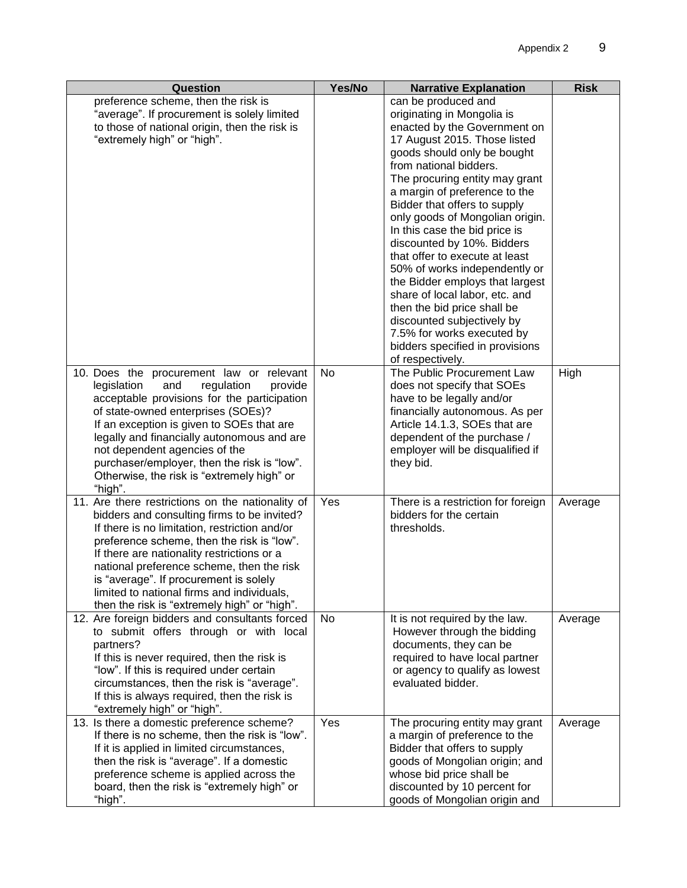| Question                                                                                                                                                                                                                                                                                                                                                                                                                          | Yes/No | <b>Narrative Explanation</b>                                                                                                                                                                                                                                                                                                                                                                                                                                                                                                                                                                                                                                              | <b>Risk</b> |
|-----------------------------------------------------------------------------------------------------------------------------------------------------------------------------------------------------------------------------------------------------------------------------------------------------------------------------------------------------------------------------------------------------------------------------------|--------|---------------------------------------------------------------------------------------------------------------------------------------------------------------------------------------------------------------------------------------------------------------------------------------------------------------------------------------------------------------------------------------------------------------------------------------------------------------------------------------------------------------------------------------------------------------------------------------------------------------------------------------------------------------------------|-------------|
| preference scheme, then the risk is<br>"average". If procurement is solely limited<br>to those of national origin, then the risk is<br>"extremely high" or "high".                                                                                                                                                                                                                                                                |        | can be produced and<br>originating in Mongolia is<br>enacted by the Government on<br>17 August 2015. Those listed<br>goods should only be bought<br>from national bidders.<br>The procuring entity may grant<br>a margin of preference to the<br>Bidder that offers to supply<br>only goods of Mongolian origin.<br>In this case the bid price is<br>discounted by 10%. Bidders<br>that offer to execute at least<br>50% of works independently or<br>the Bidder employs that largest<br>share of local labor, etc. and<br>then the bid price shall be<br>discounted subjectively by<br>7.5% for works executed by<br>bidders specified in provisions<br>of respectively. |             |
| 10. Does the procurement law or relevant<br>legislation<br>and<br>regulation<br>provide<br>acceptable provisions for the participation<br>of state-owned enterprises (SOEs)?<br>If an exception is given to SOEs that are<br>legally and financially autonomous and are<br>not dependent agencies of the<br>purchaser/employer, then the risk is "low".<br>Otherwise, the risk is "extremely high" or<br>"high".                  | No     | The Public Procurement Law<br>does not specify that SOEs<br>have to be legally and/or<br>financially autonomous. As per<br>Article 14.1.3, SOEs that are<br>dependent of the purchase /<br>employer will be disqualified if<br>they bid.                                                                                                                                                                                                                                                                                                                                                                                                                                  | High        |
| 11. Are there restrictions on the nationality of<br>bidders and consulting firms to be invited?<br>If there is no limitation, restriction and/or<br>preference scheme, then the risk is "low".<br>If there are nationality restrictions or a<br>national preference scheme, then the risk<br>is "average". If procurement is solely<br>limited to national firms and individuals,<br>then the risk is "extremely high" or "high". | Yes    | There is a restriction for foreign<br>bidders for the certain<br>thresholds.                                                                                                                                                                                                                                                                                                                                                                                                                                                                                                                                                                                              | Average     |
| 12. Are foreign bidders and consultants forced<br>to submit offers through or with local<br>partners?<br>If this is never required, then the risk is<br>"low". If this is required under certain<br>circumstances, then the risk is "average".<br>If this is always required, then the risk is<br>"extremely high" or "high".                                                                                                     | No     | It is not required by the law.<br>However through the bidding<br>documents, they can be<br>required to have local partner<br>or agency to qualify as lowest<br>evaluated bidder.                                                                                                                                                                                                                                                                                                                                                                                                                                                                                          | Average     |
| 13. Is there a domestic preference scheme?<br>If there is no scheme, then the risk is "low".<br>If it is applied in limited circumstances,<br>then the risk is "average". If a domestic<br>preference scheme is applied across the<br>board, then the risk is "extremely high" or<br>"high".                                                                                                                                      | Yes    | The procuring entity may grant<br>a margin of preference to the<br>Bidder that offers to supply<br>goods of Mongolian origin; and<br>whose bid price shall be<br>discounted by 10 percent for<br>goods of Mongolian origin and                                                                                                                                                                                                                                                                                                                                                                                                                                            | Average     |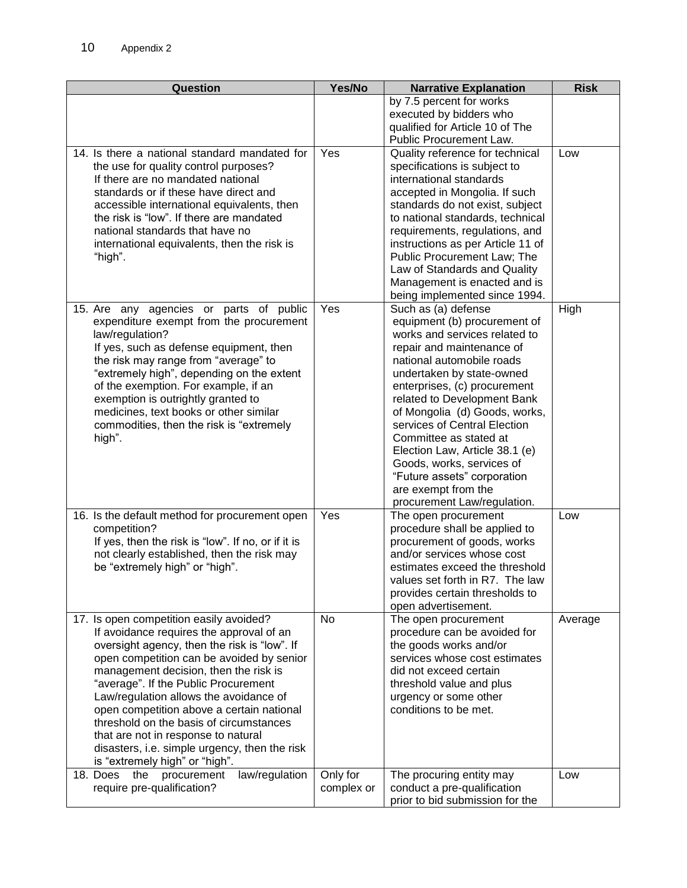| Question                                                                                                                                                                                                                                                                                                                                                                                                                                                                                                                      | Yes/No                 | <b>Narrative Explanation</b>                                                                                                                                                                                                                                                                                                                                                                                                                                                              | <b>Risk</b> |
|-------------------------------------------------------------------------------------------------------------------------------------------------------------------------------------------------------------------------------------------------------------------------------------------------------------------------------------------------------------------------------------------------------------------------------------------------------------------------------------------------------------------------------|------------------------|-------------------------------------------------------------------------------------------------------------------------------------------------------------------------------------------------------------------------------------------------------------------------------------------------------------------------------------------------------------------------------------------------------------------------------------------------------------------------------------------|-------------|
|                                                                                                                                                                                                                                                                                                                                                                                                                                                                                                                               |                        | by 7.5 percent for works<br>executed by bidders who<br>qualified for Article 10 of The<br>Public Procurement Law.                                                                                                                                                                                                                                                                                                                                                                         |             |
| 14. Is there a national standard mandated for<br>the use for quality control purposes?<br>If there are no mandated national<br>standards or if these have direct and<br>accessible international equivalents, then<br>the risk is "low". If there are mandated<br>national standards that have no<br>international equivalents, then the risk is<br>"high".                                                                                                                                                                   | Yes                    | Quality reference for technical<br>specifications is subject to<br>international standards<br>accepted in Mongolia. If such<br>standards do not exist, subject<br>to national standards, technical<br>requirements, regulations, and<br>instructions as per Article 11 of<br>Public Procurement Law; The<br>Law of Standards and Quality<br>Management is enacted and is<br>being implemented since 1994.                                                                                 | Low         |
| 15. Are any agencies or parts of public<br>expenditure exempt from the procurement<br>law/regulation?<br>If yes, such as defense equipment, then<br>the risk may range from "average" to<br>"extremely high", depending on the extent<br>of the exemption. For example, if an<br>exemption is outrightly granted to<br>medicines, text books or other similar<br>commodities, then the risk is "extremely<br>high".                                                                                                           | Yes                    | Such as (a) defense<br>equipment (b) procurement of<br>works and services related to<br>repair and maintenance of<br>national automobile roads<br>undertaken by state-owned<br>enterprises, (c) procurement<br>related to Development Bank<br>of Mongolia (d) Goods, works,<br>services of Central Election<br>Committee as stated at<br>Election Law, Article 38.1 (e)<br>Goods, works, services of<br>"Future assets" corporation<br>are exempt from the<br>procurement Law/regulation. | High        |
| 16. Is the default method for procurement open<br>competition?<br>If yes, then the risk is "low". If no, or if it is<br>not clearly established, then the risk may<br>be "extremely high" or "high".                                                                                                                                                                                                                                                                                                                          | Yes                    | The open procurement<br>procedure shall be applied to<br>procurement of goods, works<br>and/or services whose cost<br>estimates exceed the threshold<br>values set forth in R7. The law<br>provides certain thresholds to<br>open advertisement.                                                                                                                                                                                                                                          | Low         |
| 17. Is open competition easily avoided?<br>If avoidance requires the approval of an<br>oversight agency, then the risk is "low". If<br>open competition can be avoided by senior<br>management decision, then the risk is<br>"average". If the Public Procurement<br>Law/regulation allows the avoidance of<br>open competition above a certain national<br>threshold on the basis of circumstances<br>that are not in response to natural<br>disasters, i.e. simple urgency, then the risk<br>is "extremely high" or "high". | No                     | The open procurement<br>procedure can be avoided for<br>the goods works and/or<br>services whose cost estimates<br>did not exceed certain<br>threshold value and plus<br>urgency or some other<br>conditions to be met.                                                                                                                                                                                                                                                                   | Average     |
| law/regulation<br>18. Does<br>procurement<br>the<br>require pre-qualification?                                                                                                                                                                                                                                                                                                                                                                                                                                                | Only for<br>complex or | The procuring entity may<br>conduct a pre-qualification<br>prior to bid submission for the                                                                                                                                                                                                                                                                                                                                                                                                | Low         |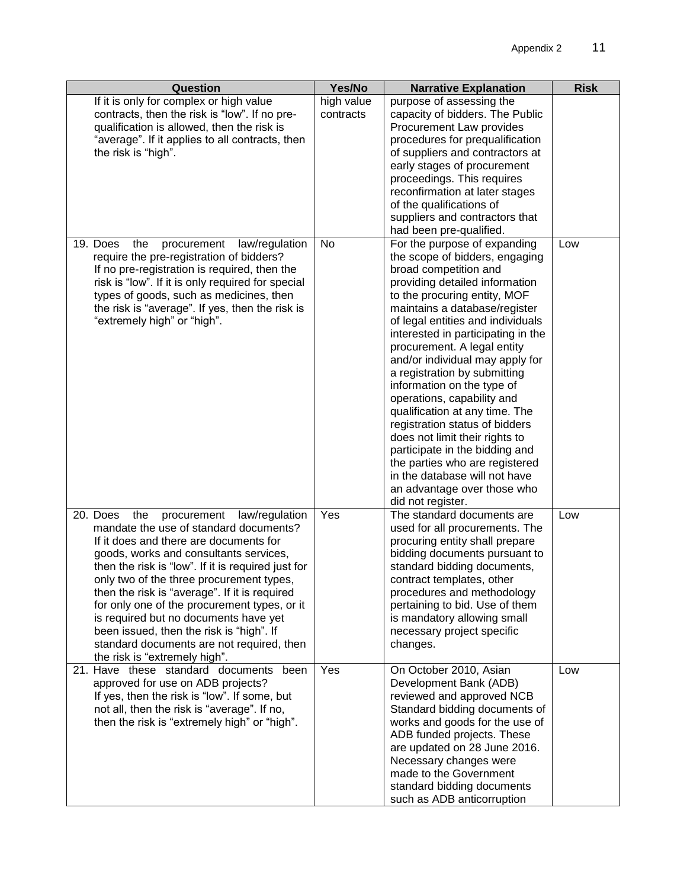| Question                                                                                                                                                                                                                                                                                                                                                                                                                                                                                                                                            | Yes/No                  | <b>Narrative Explanation</b>                                                                                                                                                                                                                                                                                                                                                                                                                                                                                                                                                                                                                                                                       | <b>Risk</b> |
|-----------------------------------------------------------------------------------------------------------------------------------------------------------------------------------------------------------------------------------------------------------------------------------------------------------------------------------------------------------------------------------------------------------------------------------------------------------------------------------------------------------------------------------------------------|-------------------------|----------------------------------------------------------------------------------------------------------------------------------------------------------------------------------------------------------------------------------------------------------------------------------------------------------------------------------------------------------------------------------------------------------------------------------------------------------------------------------------------------------------------------------------------------------------------------------------------------------------------------------------------------------------------------------------------------|-------------|
| If it is only for complex or high value<br>contracts, then the risk is "low". If no pre-<br>qualification is allowed, then the risk is<br>"average". If it applies to all contracts, then<br>the risk is "high".                                                                                                                                                                                                                                                                                                                                    | high value<br>contracts | purpose of assessing the<br>capacity of bidders. The Public<br>Procurement Law provides<br>procedures for prequalification<br>of suppliers and contractors at<br>early stages of procurement<br>proceedings. This requires<br>reconfirmation at later stages<br>of the qualifications of<br>suppliers and contractors that<br>had been pre-qualified.                                                                                                                                                                                                                                                                                                                                              |             |
| 19. Does<br>the<br>procurement<br>law/regulation<br>require the pre-registration of bidders?<br>If no pre-registration is required, then the<br>risk is "low". If it is only required for special<br>types of goods, such as medicines, then<br>the risk is "average". If yes, then the risk is<br>"extremely high" or "high".                                                                                                                                                                                                                      | No                      | For the purpose of expanding<br>the scope of bidders, engaging<br>broad competition and<br>providing detailed information<br>to the procuring entity, MOF<br>maintains a database/register<br>of legal entities and individuals<br>interested in participating in the<br>procurement. A legal entity<br>and/or individual may apply for<br>a registration by submitting<br>information on the type of<br>operations, capability and<br>qualification at any time. The<br>registration status of bidders<br>does not limit their rights to<br>participate in the bidding and<br>the parties who are registered<br>in the database will not have<br>an advantage over those who<br>did not register. | Low         |
| 20. Does<br>the<br>procurement<br>law/regulation<br>mandate the use of standard documents?<br>If it does and there are documents for<br>goods, works and consultants services,<br>then the risk is "low". If it is required just for<br>only two of the three procurement types<br>then the risk is "average". If it is required<br>for only one of the procurement types, or it<br>is required but no documents have yet<br>been issued, then the risk is "high". If<br>standard documents are not required, then<br>the risk is "extremely high". | Yes                     | The standard documents are<br>used for all procurements. The<br>procuring entity shall prepare<br>bidding documents pursuant to<br>standard bidding documents,<br>contract templates, other<br>procedures and methodology<br>pertaining to bid. Use of them<br>is mandatory allowing small<br>necessary project specific<br>changes.                                                                                                                                                                                                                                                                                                                                                               | Low         |
| 21. Have these standard documents been<br>approved for use on ADB projects?<br>If yes, then the risk is "low". If some, but<br>not all, then the risk is "average". If no,<br>then the risk is "extremely high" or "high".                                                                                                                                                                                                                                                                                                                          | Yes                     | On October 2010, Asian<br>Development Bank (ADB)<br>reviewed and approved NCB<br>Standard bidding documents of<br>works and goods for the use of<br>ADB funded projects. These<br>are updated on 28 June 2016.<br>Necessary changes were<br>made to the Government<br>standard bidding documents<br>such as ADB anticorruption                                                                                                                                                                                                                                                                                                                                                                     | Low         |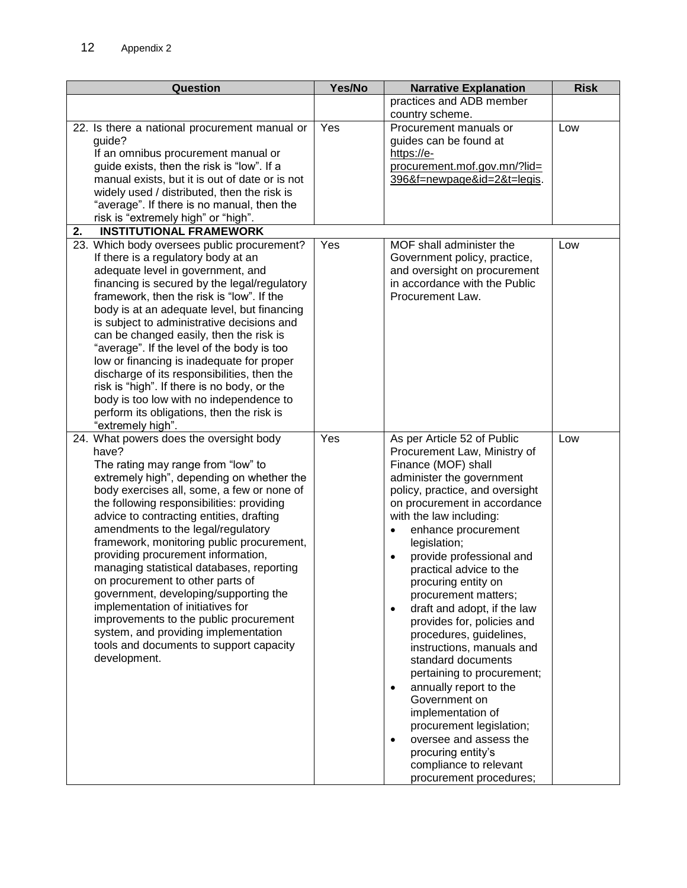| Question                                                                                                                                                                                                                                                                                                                                                                                                                                                                                                                                                                                                                                                                                                        | Yes/No | <b>Narrative Explanation</b>                                                                                                                                                                                                                                                                                                                                                                                                                                                                                                                                                                                                                                                                                                                      | <b>Risk</b> |
|-----------------------------------------------------------------------------------------------------------------------------------------------------------------------------------------------------------------------------------------------------------------------------------------------------------------------------------------------------------------------------------------------------------------------------------------------------------------------------------------------------------------------------------------------------------------------------------------------------------------------------------------------------------------------------------------------------------------|--------|---------------------------------------------------------------------------------------------------------------------------------------------------------------------------------------------------------------------------------------------------------------------------------------------------------------------------------------------------------------------------------------------------------------------------------------------------------------------------------------------------------------------------------------------------------------------------------------------------------------------------------------------------------------------------------------------------------------------------------------------------|-------------|
|                                                                                                                                                                                                                                                                                                                                                                                                                                                                                                                                                                                                                                                                                                                 |        | practices and ADB member                                                                                                                                                                                                                                                                                                                                                                                                                                                                                                                                                                                                                                                                                                                          |             |
|                                                                                                                                                                                                                                                                                                                                                                                                                                                                                                                                                                                                                                                                                                                 |        | country scheme.                                                                                                                                                                                                                                                                                                                                                                                                                                                                                                                                                                                                                                                                                                                                   |             |
| 22. Is there a national procurement manual or<br>guide?<br>If an omnibus procurement manual or                                                                                                                                                                                                                                                                                                                                                                                                                                                                                                                                                                                                                  | Yes    | Procurement manuals or<br>guides can be found at<br>https://e-                                                                                                                                                                                                                                                                                                                                                                                                                                                                                                                                                                                                                                                                                    | Low         |
| guide exists, then the risk is "low". If a<br>manual exists, but it is out of date or is not<br>widely used / distributed, then the risk is<br>"average". If there is no manual, then the<br>risk is "extremely high" or "high".<br><b>INSTITUTIONAL FRAMEWORK</b><br>2.                                                                                                                                                                                                                                                                                                                                                                                                                                        |        | procurement.mof.gov.mn/?lid=<br>396&f=newpage&id=2&t=legis.                                                                                                                                                                                                                                                                                                                                                                                                                                                                                                                                                                                                                                                                                       |             |
| 23. Which body oversees public procurement?                                                                                                                                                                                                                                                                                                                                                                                                                                                                                                                                                                                                                                                                     | Yes    | MOF shall administer the                                                                                                                                                                                                                                                                                                                                                                                                                                                                                                                                                                                                                                                                                                                          | Low         |
| If there is a regulatory body at an<br>adequate level in government, and<br>financing is secured by the legal/regulatory<br>framework, then the risk is "low". If the<br>body is at an adequate level, but financing<br>is subject to administrative decisions and<br>can be changed easily, then the risk is<br>"average". If the level of the body is too<br>low or financing is inadequate for proper<br>discharge of its responsibilities, then the<br>risk is "high". If there is no body, or the<br>body is too low with no independence to<br>perform its obligations, then the risk is<br>"extremely high".                                                                                             |        | Government policy, practice,<br>and oversight on procurement<br>in accordance with the Public<br>Procurement Law.                                                                                                                                                                                                                                                                                                                                                                                                                                                                                                                                                                                                                                 |             |
| 24. What powers does the oversight body<br>have?<br>The rating may range from "low" to<br>extremely high", depending on whether the<br>body exercises all, some, a few or none of<br>the following responsibilities: providing<br>advice to contracting entities, drafting<br>amendments to the legal/regulatory<br>framework, monitoring public procurement,<br>providing procurement information,<br>managing statistical databases, reporting<br>on procurement to other parts of<br>government, developing/supporting the<br>implementation of initiatives for<br>improvements to the public procurement<br>system, and providing implementation<br>tools and documents to support capacity<br>development. | Yes    | As per Article 52 of Public<br>Procurement Law, Ministry of<br>Finance (MOF) shall<br>administer the government<br>policy, practice, and oversight<br>on procurement in accordance<br>with the law including:<br>enhance procurement<br>legislation;<br>provide professional and<br>practical advice to the<br>procuring entity on<br>procurement matters;<br>draft and adopt, if the law<br>provides for, policies and<br>procedures, guidelines,<br>instructions, manuals and<br>standard documents<br>pertaining to procurement;<br>annually report to the<br>$\bullet$<br>Government on<br>implementation of<br>procurement legislation;<br>oversee and assess the<br>procuring entity's<br>compliance to relevant<br>procurement procedures; | Low         |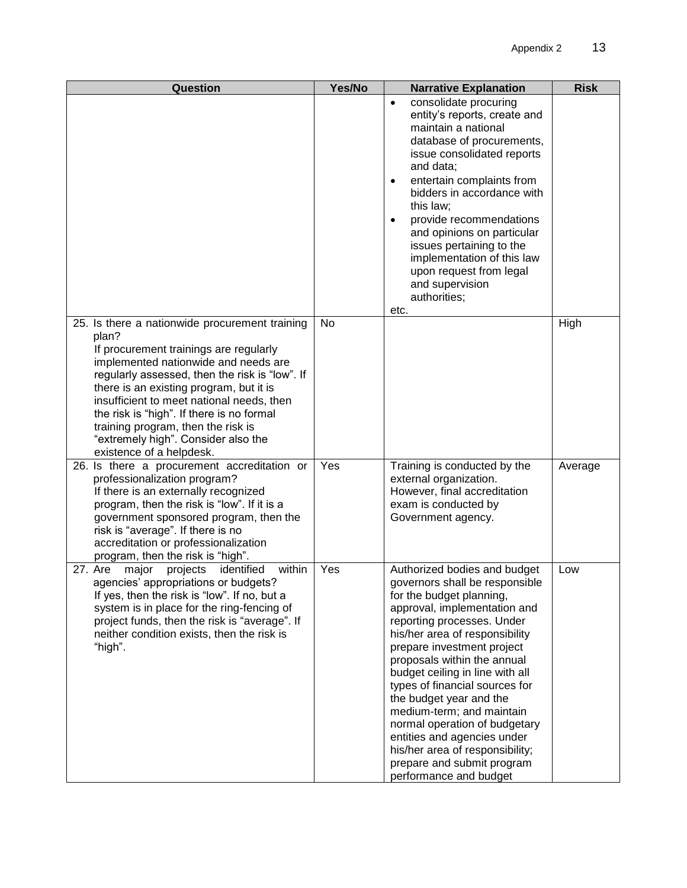| Question                                                                                                                                                                                                                                                                                                                                                                                                                                  | Yes/No | <b>Narrative Explanation</b>                                                                                                                                                                                                                                                                                                                                                                                                                                                                                                                    | <b>Risk</b> |
|-------------------------------------------------------------------------------------------------------------------------------------------------------------------------------------------------------------------------------------------------------------------------------------------------------------------------------------------------------------------------------------------------------------------------------------------|--------|-------------------------------------------------------------------------------------------------------------------------------------------------------------------------------------------------------------------------------------------------------------------------------------------------------------------------------------------------------------------------------------------------------------------------------------------------------------------------------------------------------------------------------------------------|-------------|
|                                                                                                                                                                                                                                                                                                                                                                                                                                           |        | consolidate procuring<br>$\bullet$<br>entity's reports, create and<br>maintain a national<br>database of procurements,<br>issue consolidated reports<br>and data;<br>entertain complaints from<br>$\bullet$<br>bidders in accordance with<br>this law;<br>provide recommendations<br>٠<br>and opinions on particular<br>issues pertaining to the<br>implementation of this law<br>upon request from legal<br>and supervision<br>authorities;<br>etc.                                                                                            |             |
| 25. Is there a nationwide procurement training<br>plan?<br>If procurement trainings are regularly<br>implemented nationwide and needs are<br>regularly assessed, then the risk is "low". If<br>there is an existing program, but it is<br>insufficient to meet national needs, then<br>the risk is "high". If there is no formal<br>training program, then the risk is<br>"extremely high". Consider also the<br>existence of a helpdesk. | No     |                                                                                                                                                                                                                                                                                                                                                                                                                                                                                                                                                 | High        |
| 26. Is there a procurement accreditation or<br>professionalization program?<br>If there is an externally recognized<br>program, then the risk is "low". If it is a<br>government sponsored program, then the<br>risk is "average". If there is no<br>accreditation or professionalization<br>program, then the risk is "high".                                                                                                            | Yes    | Training is conducted by the<br>external organization.<br>However, final accreditation<br>exam is conducted by<br>Government agency.                                                                                                                                                                                                                                                                                                                                                                                                            | Average     |
| 27. Are major<br>projects identified<br>within<br>agencies' appropriations or budgets?<br>If yes, then the risk is "low". If no, but a<br>system is in place for the ring-fencing of<br>project funds, then the risk is "average". If<br>neither condition exists, then the risk is<br>"high".                                                                                                                                            | Yes    | Authorized bodies and budget<br>governors shall be responsible<br>for the budget planning,<br>approval, implementation and<br>reporting processes. Under<br>his/her area of responsibility<br>prepare investment project<br>proposals within the annual<br>budget ceiling in line with all<br>types of financial sources for<br>the budget year and the<br>medium-term; and maintain<br>normal operation of budgetary<br>entities and agencies under<br>his/her area of responsibility;<br>prepare and submit program<br>performance and budget | Low         |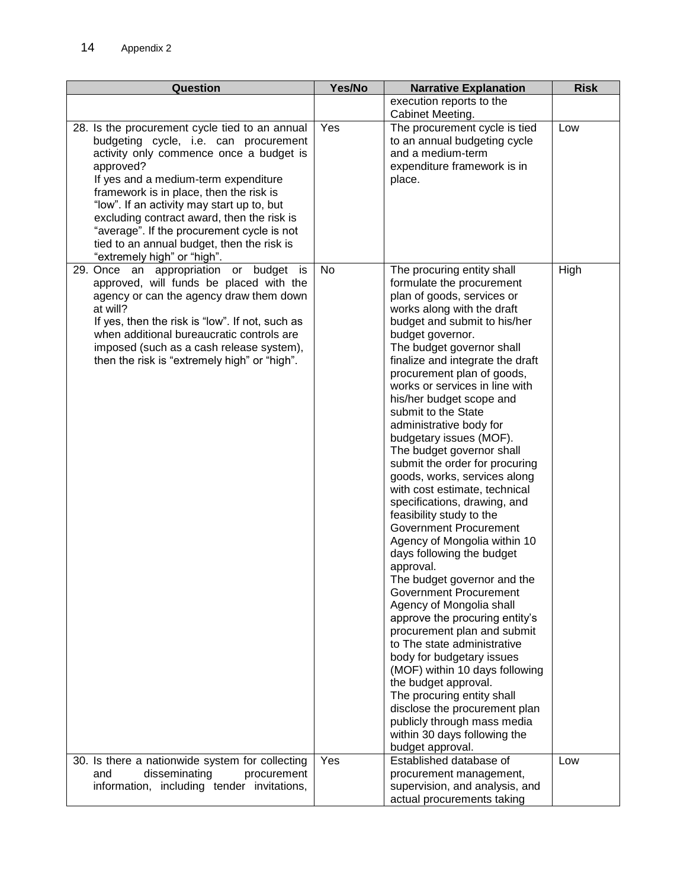| <b>Question</b>                                                                                                                                                                                                                                                                                                                                                                                                                                           | Yes/No | <b>Narrative Explanation</b>                                                                                                                                                                                                                                                                                                                                                                                                                                                                                                                                                                                                                                                                                                                                                                                                                                                                                                                                                                                                                                                                                                              | <b>Risk</b> |
|-----------------------------------------------------------------------------------------------------------------------------------------------------------------------------------------------------------------------------------------------------------------------------------------------------------------------------------------------------------------------------------------------------------------------------------------------------------|--------|-------------------------------------------------------------------------------------------------------------------------------------------------------------------------------------------------------------------------------------------------------------------------------------------------------------------------------------------------------------------------------------------------------------------------------------------------------------------------------------------------------------------------------------------------------------------------------------------------------------------------------------------------------------------------------------------------------------------------------------------------------------------------------------------------------------------------------------------------------------------------------------------------------------------------------------------------------------------------------------------------------------------------------------------------------------------------------------------------------------------------------------------|-------------|
|                                                                                                                                                                                                                                                                                                                                                                                                                                                           |        | execution reports to the                                                                                                                                                                                                                                                                                                                                                                                                                                                                                                                                                                                                                                                                                                                                                                                                                                                                                                                                                                                                                                                                                                                  |             |
|                                                                                                                                                                                                                                                                                                                                                                                                                                                           |        | Cabinet Meeting.                                                                                                                                                                                                                                                                                                                                                                                                                                                                                                                                                                                                                                                                                                                                                                                                                                                                                                                                                                                                                                                                                                                          |             |
| 28. Is the procurement cycle tied to an annual<br>budgeting cycle, i.e. can procurement<br>activity only commence once a budget is<br>approved?<br>If yes and a medium-term expenditure<br>framework is in place, then the risk is<br>"low". If an activity may start up to, but<br>excluding contract award, then the risk is<br>"average". If the procurement cycle is not<br>tied to an annual budget, then the risk is<br>"extremely high" or "high". | Yes    | The procurement cycle is tied<br>to an annual budgeting cycle<br>and a medium-term<br>expenditure framework is in<br>place.                                                                                                                                                                                                                                                                                                                                                                                                                                                                                                                                                                                                                                                                                                                                                                                                                                                                                                                                                                                                               | Low         |
| 29. Once an appropriation or budget is<br>approved, will funds be placed with the<br>agency or can the agency draw them down<br>at will?<br>If yes, then the risk is "low". If not, such as<br>when additional bureaucratic controls are<br>imposed (such as a cash release system),<br>then the risk is "extremely high" or "high".                                                                                                                      | No     | The procuring entity shall<br>formulate the procurement<br>plan of goods, services or<br>works along with the draft<br>budget and submit to his/her<br>budget governor.<br>The budget governor shall<br>finalize and integrate the draft<br>procurement plan of goods,<br>works or services in line with<br>his/her budget scope and<br>submit to the State<br>administrative body for<br>budgetary issues (MOF).<br>The budget governor shall<br>submit the order for procuring<br>goods, works, services along<br>with cost estimate, technical<br>specifications, drawing, and<br>feasibility study to the<br><b>Government Procurement</b><br>Agency of Mongolia within 10<br>days following the budget<br>approval.<br>The budget governor and the<br><b>Government Procurement</b><br>Agency of Mongolia shall<br>approve the procuring entity's<br>procurement plan and submit<br>to The state administrative<br>body for budgetary issues<br>(MOF) within 10 days following<br>the budget approval.<br>The procuring entity shall<br>disclose the procurement plan<br>publicly through mass media<br>within 30 days following the | High        |
|                                                                                                                                                                                                                                                                                                                                                                                                                                                           |        | budget approval.                                                                                                                                                                                                                                                                                                                                                                                                                                                                                                                                                                                                                                                                                                                                                                                                                                                                                                                                                                                                                                                                                                                          |             |
| 30. Is there a nationwide system for collecting<br>disseminating<br>procurement<br>and                                                                                                                                                                                                                                                                                                                                                                    | Yes    | Established database of<br>procurement management,                                                                                                                                                                                                                                                                                                                                                                                                                                                                                                                                                                                                                                                                                                                                                                                                                                                                                                                                                                                                                                                                                        | Low         |
| information, including tender invitations,                                                                                                                                                                                                                                                                                                                                                                                                                |        | supervision, and analysis, and<br>actual procurements taking                                                                                                                                                                                                                                                                                                                                                                                                                                                                                                                                                                                                                                                                                                                                                                                                                                                                                                                                                                                                                                                                              |             |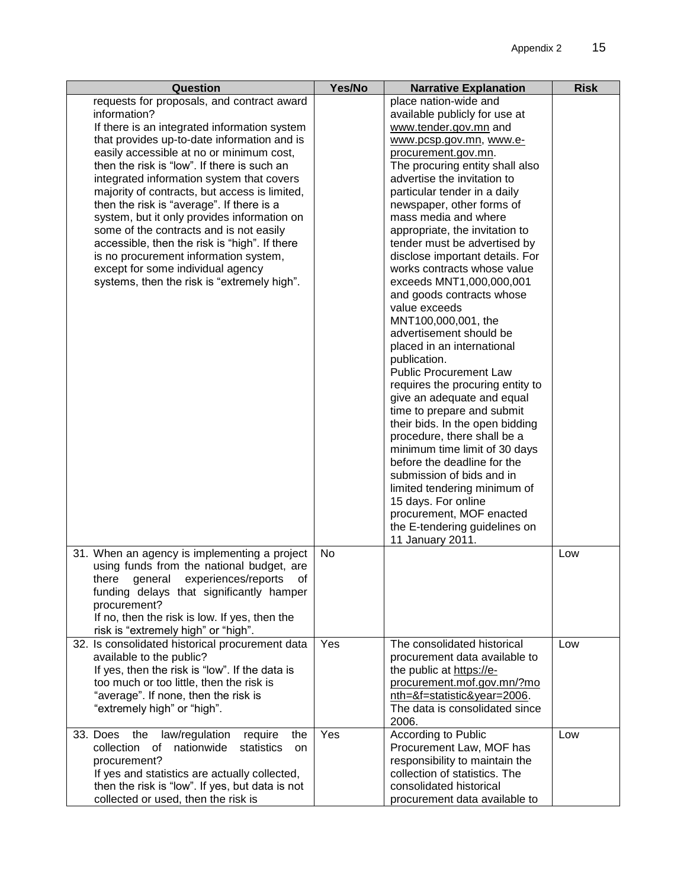| Question                                                                                   | Yes/No | <b>Narrative Explanation</b>                                | <b>Risk</b> |
|--------------------------------------------------------------------------------------------|--------|-------------------------------------------------------------|-------------|
| requests for proposals, and contract award                                                 |        | place nation-wide and                                       |             |
| information?                                                                               |        | available publicly for use at                               |             |
| If there is an integrated information system                                               |        | www.tender.gov.mn and                                       |             |
| that provides up-to-date information and is                                                |        | www.pcsp.gov.mn, www.e-                                     |             |
| easily accessible at no or minimum cost,                                                   |        | procurement.gov.mn.                                         |             |
| then the risk is "low". If there is such an                                                |        | The procuring entity shall also                             |             |
| integrated information system that covers<br>majority of contracts, but access is limited, |        | advertise the invitation to<br>particular tender in a daily |             |
| then the risk is "average". If there is a                                                  |        | newspaper, other forms of                                   |             |
| system, but it only provides information on                                                |        | mass media and where                                        |             |
| some of the contracts and is not easily                                                    |        | appropriate, the invitation to                              |             |
| accessible, then the risk is "high". If there                                              |        | tender must be advertised by                                |             |
| is no procurement information system,                                                      |        | disclose important details. For                             |             |
| except for some individual agency                                                          |        | works contracts whose value                                 |             |
| systems, then the risk is "extremely high".                                                |        | exceeds MNT1,000,000,001                                    |             |
|                                                                                            |        | and goods contracts whose                                   |             |
|                                                                                            |        | value exceeds                                               |             |
|                                                                                            |        | MNT100,000,001, the                                         |             |
|                                                                                            |        | advertisement should be                                     |             |
|                                                                                            |        | placed in an international<br>publication.                  |             |
|                                                                                            |        | <b>Public Procurement Law</b>                               |             |
|                                                                                            |        | requires the procuring entity to                            |             |
|                                                                                            |        | give an adequate and equal                                  |             |
|                                                                                            |        | time to prepare and submit                                  |             |
|                                                                                            |        | their bids. In the open bidding                             |             |
|                                                                                            |        | procedure, there shall be a                                 |             |
|                                                                                            |        | minimum time limit of 30 days                               |             |
|                                                                                            |        | before the deadline for the                                 |             |
|                                                                                            |        | submission of bids and in                                   |             |
|                                                                                            |        | limited tendering minimum of                                |             |
|                                                                                            |        | 15 days. For online                                         |             |
|                                                                                            |        | procurement, MOF enacted<br>the E-tendering guidelines on   |             |
|                                                                                            |        | 11 January 2011.                                            |             |
| 31. When an agency is implementing a project                                               | No     |                                                             | Low         |
| using funds from the national budget, are                                                  |        |                                                             |             |
| experiences/reports<br>there<br>aeneral<br>ot                                              |        |                                                             |             |
| funding delays that significantly hamper                                                   |        |                                                             |             |
| procurement?                                                                               |        |                                                             |             |
| If no, then the risk is low. If yes, then the                                              |        |                                                             |             |
| risk is "extremely high" or "high".                                                        |        |                                                             |             |
| 32. Is consolidated historical procurement data                                            | Yes    | The consolidated historical                                 | Low         |
| available to the public?<br>If yes, then the risk is "low". If the data is                 |        | procurement data available to                               |             |
| too much or too little, then the risk is                                                   |        | the public at https://e-<br>procurement.mof.gov.mn/?mo      |             |
| "average". If none, then the risk is                                                       |        | nth=&f=statistic&year=2006.                                 |             |
| "extremely high" or "high".                                                                |        | The data is consolidated since                              |             |
|                                                                                            |        | 2006.                                                       |             |
| law/regulation<br>33. Does<br>the<br>require<br>the                                        | Yes    | According to Public                                         | Low         |
| nationwide<br>collection<br>of<br>statistics<br>on                                         |        | Procurement Law, MOF has                                    |             |
| procurement?                                                                               |        | responsibility to maintain the                              |             |
| If yes and statistics are actually collected,                                              |        | collection of statistics. The                               |             |
| then the risk is "low". If yes, but data is not                                            |        | consolidated historical                                     |             |
| collected or used, then the risk is                                                        |        | procurement data available to                               |             |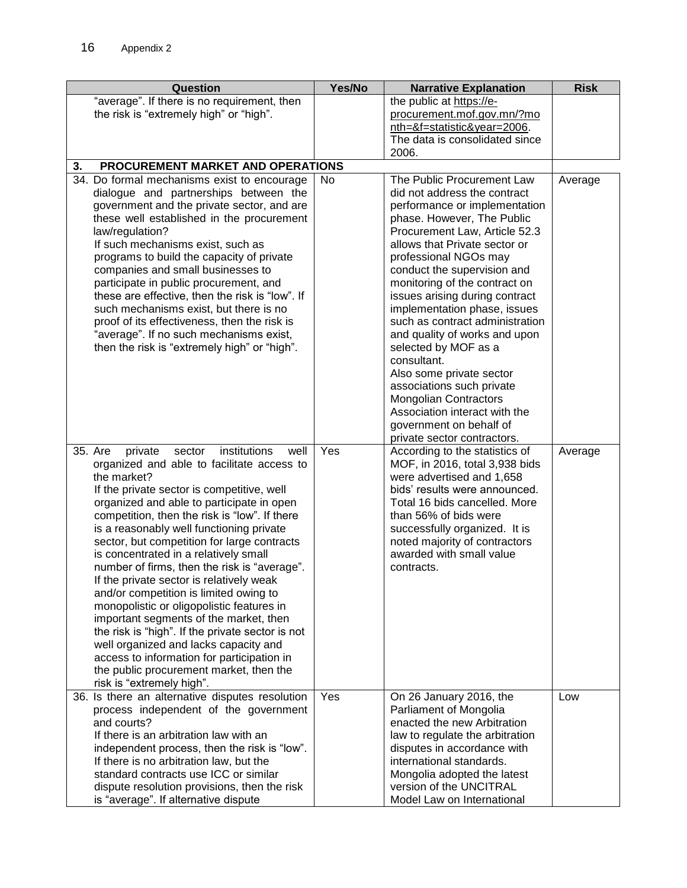| Question                                                                                | Yes/No | <b>Narrative Explanation</b>        | <b>Risk</b> |
|-----------------------------------------------------------------------------------------|--------|-------------------------------------|-------------|
| "average". If there is no requirement, then                                             |        | the public at https://e-            |             |
| the risk is "extremely high" or "high".                                                 |        | procurement.mof.gov.mn/?mo          |             |
|                                                                                         |        | nth=&f=statistic&year=2006.         |             |
|                                                                                         |        | The data is consolidated since      |             |
|                                                                                         |        | 2006.                               |             |
| 3.<br>PROCUREMENT MARKET AND OPERATIONS                                                 |        |                                     |             |
| 34. Do formal mechanisms exist to encourage                                             | No     | The Public Procurement Law          | Average     |
| dialogue and partnerships between the                                                   |        | did not address the contract        |             |
| government and the private sector, and are                                              |        | performance or implementation       |             |
| these well established in the procurement                                               |        | phase. However, The Public          |             |
| law/regulation?                                                                         |        | Procurement Law, Article 52.3       |             |
| If such mechanisms exist, such as                                                       |        | allows that Private sector or       |             |
| programs to build the capacity of private                                               |        | professional NGOs may               |             |
| companies and small businesses to                                                       |        | conduct the supervision and         |             |
| participate in public procurement, and                                                  |        | monitoring of the contract on       |             |
| these are effective, then the risk is "low". If                                         |        | issues arising during contract      |             |
| such mechanisms exist, but there is no                                                  |        | implementation phase, issues        |             |
| proof of its effectiveness, then the risk is                                            |        | such as contract administration     |             |
| "average". If no such mechanisms exist,<br>then the risk is "extremely high" or "high". |        | and quality of works and upon       |             |
|                                                                                         |        | selected by MOF as a<br>consultant. |             |
|                                                                                         |        | Also some private sector            |             |
|                                                                                         |        | associations such private           |             |
|                                                                                         |        | <b>Mongolian Contractors</b>        |             |
|                                                                                         |        | Association interact with the       |             |
|                                                                                         |        | government on behalf of             |             |
|                                                                                         |        | private sector contractors.         |             |
| institutions<br>35. Are<br>private<br>sector<br>well                                    | Yes    | According to the statistics of      | Average     |
| organized and able to facilitate access to                                              |        | MOF, in 2016, total 3,938 bids      |             |
| the market?                                                                             |        | were advertised and 1,658           |             |
| If the private sector is competitive, well                                              |        | bids' results were announced.       |             |
| organized and able to participate in open                                               |        | Total 16 bids cancelled. More       |             |
| competition, then the risk is "low". If there                                           |        | than 56% of bids were               |             |
| is a reasonably well functioning private                                                |        | successfully organized. It is       |             |
| sector, but competition for large contracts                                             |        | noted majority of contractors       |             |
| is concentrated in a relatively small                                                   |        | awarded with small value            |             |
| number of firms, then the risk is "average".                                            |        | contracts.                          |             |
| If the private sector is relatively weak                                                |        |                                     |             |
| and/or competition is limited owing to                                                  |        |                                     |             |
| monopolistic or oligopolistic features in                                               |        |                                     |             |
| important segments of the market, then                                                  |        |                                     |             |
| the risk is "high". If the private sector is not                                        |        |                                     |             |
| well organized and lacks capacity and                                                   |        |                                     |             |
| access to information for participation in                                              |        |                                     |             |
| the public procurement market, then the<br>risk is "extremely high".                    |        |                                     |             |
| 36. Is there an alternative disputes resolution                                         | Yes    | On 26 January 2016, the             | Low         |
| process independent of the government                                                   |        | Parliament of Mongolia              |             |
| and courts?                                                                             |        | enacted the new Arbitration         |             |
| If there is an arbitration law with an                                                  |        | law to regulate the arbitration     |             |
| independent process, then the risk is "low".                                            |        | disputes in accordance with         |             |
| If there is no arbitration law, but the                                                 |        | international standards.            |             |
| standard contracts use ICC or similar                                                   |        | Mongolia adopted the latest         |             |
| dispute resolution provisions, then the risk                                            |        | version of the UNCITRAL             |             |
| is "average". If alternative dispute                                                    |        | Model Law on International          |             |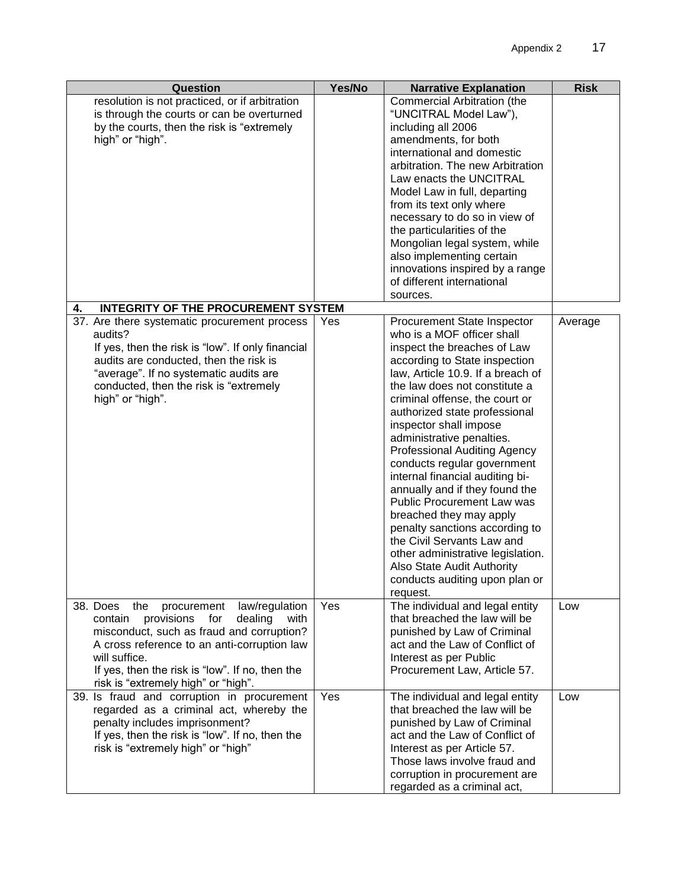| Question                                          | Yes/No | <b>Narrative Explanation</b>        | <b>Risk</b> |
|---------------------------------------------------|--------|-------------------------------------|-------------|
| resolution is not practiced, or if arbitration    |        | Commercial Arbitration (the         |             |
| is through the courts or can be overturned        |        | "UNCITRAL Model Law"),              |             |
| by the courts, then the risk is "extremely        |        | including all 2006                  |             |
| high" or "high".                                  |        | amendments, for both                |             |
|                                                   |        | international and domestic          |             |
|                                                   |        | arbitration. The new Arbitration    |             |
|                                                   |        | Law enacts the UNCITRAL             |             |
|                                                   |        | Model Law in full, departing        |             |
|                                                   |        | from its text only where            |             |
|                                                   |        | necessary to do so in view of       |             |
|                                                   |        | the particularities of the          |             |
|                                                   |        | Mongolian legal system, while       |             |
|                                                   |        | also implementing certain           |             |
|                                                   |        | innovations inspired by a range     |             |
|                                                   |        | of different international          |             |
|                                                   |        | sources.                            |             |
| <b>INTEGRITY OF THE PROCUREMENT SYSTEM</b><br>4.  |        |                                     |             |
| 37. Are there systematic procurement process      | Yes    | <b>Procurement State Inspector</b>  | Average     |
| audits?                                           |        | who is a MOF officer shall          |             |
| If yes, then the risk is "low". If only financial |        | inspect the breaches of Law         |             |
| audits are conducted, then the risk is            |        | according to State inspection       |             |
| "average". If no systematic audits are            |        | law, Article 10.9. If a breach of   |             |
| conducted, then the risk is "extremely            |        | the law does not constitute a       |             |
| high" or "high".                                  |        | criminal offense, the court or      |             |
|                                                   |        | authorized state professional       |             |
|                                                   |        | inspector shall impose              |             |
|                                                   |        | administrative penalties.           |             |
|                                                   |        | <b>Professional Auditing Agency</b> |             |
|                                                   |        | conducts regular government         |             |
|                                                   |        | internal financial auditing bi-     |             |
|                                                   |        | annually and if they found the      |             |
|                                                   |        | Public Procurement Law was          |             |
|                                                   |        | breached they may apply             |             |
|                                                   |        | penalty sanctions according to      |             |
|                                                   |        | the Civil Servants Law and          |             |
|                                                   |        | other administrative legislation.   |             |
|                                                   |        | Also State Audit Authority          |             |
|                                                   |        | conducts auditing upon plan or      |             |
|                                                   |        | request.                            |             |
| 38. Does<br>procurement<br>law/regulation<br>the  | Yes    | The individual and legal entity     | Low         |
| provisions for<br>dealing<br>contain<br>with      |        | that breached the law will be       |             |
| misconduct, such as fraud and corruption?         |        | punished by Law of Criminal         |             |
| A cross reference to an anti-corruption law       |        | act and the Law of Conflict of      |             |
| will suffice.                                     |        | Interest as per Public              |             |
| If yes, then the risk is "low". If no, then the   |        | Procurement Law, Article 57.        |             |
| risk is "extremely high" or "high".               |        |                                     |             |
| 39. Is fraud and corruption in procurement        | Yes    | The individual and legal entity     | Low         |
| regarded as a criminal act, whereby the           |        | that breached the law will be       |             |
| penalty includes imprisonment?                    |        | punished by Law of Criminal         |             |
| If yes, then the risk is "low". If no, then the   |        | act and the Law of Conflict of      |             |
| risk is "extremely high" or "high"                |        | Interest as per Article 57.         |             |
|                                                   |        | Those laws involve fraud and        |             |
|                                                   |        | corruption in procurement are       |             |
|                                                   |        | regarded as a criminal act,         |             |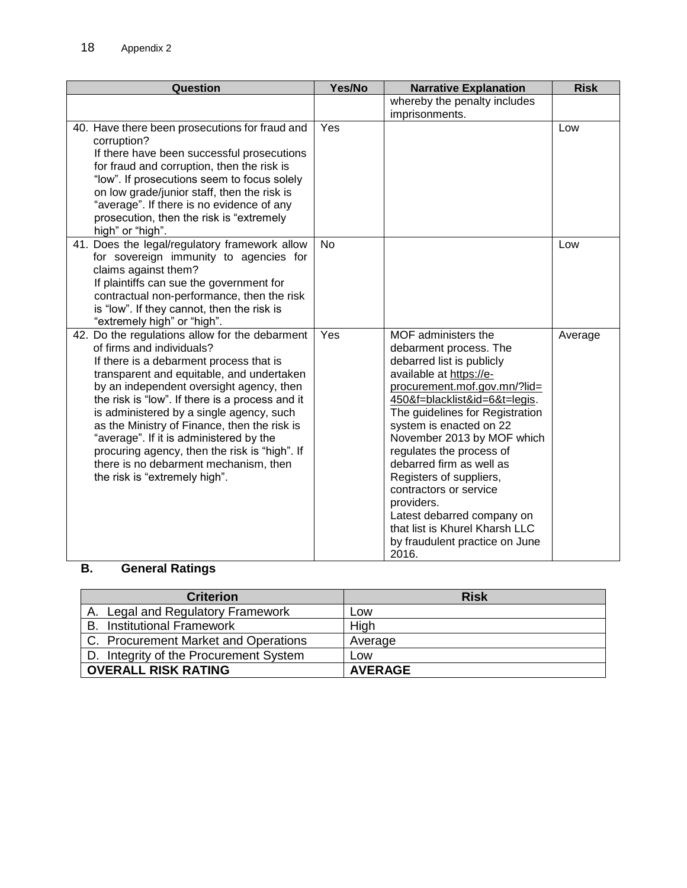| Question                                                                                                                                                                                                                                                                                                                                                                                                                                                                                                                             | Yes/No    | <b>Narrative Explanation</b>                                                                                                                                                                                                                                                                                                                                                                                                                                                                             | <b>Risk</b> |
|--------------------------------------------------------------------------------------------------------------------------------------------------------------------------------------------------------------------------------------------------------------------------------------------------------------------------------------------------------------------------------------------------------------------------------------------------------------------------------------------------------------------------------------|-----------|----------------------------------------------------------------------------------------------------------------------------------------------------------------------------------------------------------------------------------------------------------------------------------------------------------------------------------------------------------------------------------------------------------------------------------------------------------------------------------------------------------|-------------|
|                                                                                                                                                                                                                                                                                                                                                                                                                                                                                                                                      |           | whereby the penalty includes<br>imprisonments.                                                                                                                                                                                                                                                                                                                                                                                                                                                           |             |
| 40. Have there been prosecutions for fraud and<br>corruption?<br>If there have been successful prosecutions<br>for fraud and corruption, then the risk is<br>"low". If prosecutions seem to focus solely<br>on low grade/junior staff, then the risk is<br>"average". If there is no evidence of any<br>prosecution, then the risk is "extremely<br>high" or "high".                                                                                                                                                                 | Yes       |                                                                                                                                                                                                                                                                                                                                                                                                                                                                                                          | Low         |
| 41. Does the legal/regulatory framework allow<br>for sovereign immunity to agencies for<br>claims against them?<br>If plaintiffs can sue the government for<br>contractual non-performance, then the risk<br>is "low". If they cannot, then the risk is<br>"extremely high" or "high".                                                                                                                                                                                                                                               | <b>No</b> |                                                                                                                                                                                                                                                                                                                                                                                                                                                                                                          | Low         |
| 42. Do the regulations allow for the debarment<br>of firms and individuals?<br>If there is a debarment process that is<br>transparent and equitable, and undertaken<br>by an independent oversight agency, then<br>the risk is "low". If there is a process and it<br>is administered by a single agency, such<br>as the Ministry of Finance, then the risk is<br>"average". If it is administered by the<br>procuring agency, then the risk is "high". If<br>there is no debarment mechanism, then<br>the risk is "extremely high". | Yes       | MOF administers the<br>debarment process. The<br>debarred list is publicly<br>available at https://e-<br>procurement.mof.gov.mn/?lid=<br>450&f=blacklist&id=6&t=legis.<br>The guidelines for Registration<br>system is enacted on 22<br>November 2013 by MOF which<br>regulates the process of<br>debarred firm as well as<br>Registers of suppliers,<br>contractors or service<br>providers.<br>Latest debarred company on<br>that list is Khurel Kharsh LLC<br>by fraudulent practice on June<br>2016. | Average     |

# **B. General Ratings**

| <b>Criterion</b>                       | <b>Risk</b>    |
|----------------------------------------|----------------|
| A. Legal and Regulatory Framework      | Low            |
| <b>B.</b> Institutional Framework      | High           |
| C. Procurement Market and Operations   | Average        |
| D. Integrity of the Procurement System | Low            |
| <b>OVERALL RISK RATING</b>             | <b>AVERAGE</b> |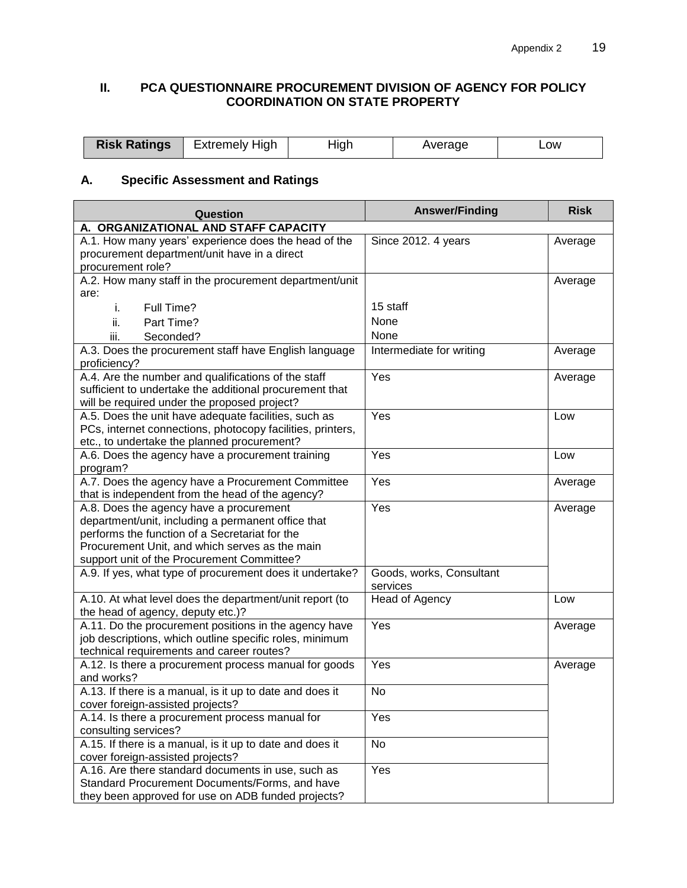## **II. PCA QUESTIONNAIRE PROCUREMENT DIVISION OF AGENCY FOR POLICY COORDINATION ON STATE PROPERTY**

| <b>Risk Ratings</b> | Extremely High | . .<br>Hia' | werane | _OW<br>_____ |
|---------------------|----------------|-------------|--------|--------------|
|---------------------|----------------|-------------|--------|--------------|

# **A. Specific Assessment and Ratings**

| Question                                                                                                                                                                                                                                        | <b>Answer/Finding</b>                | <b>Risk</b> |
|-------------------------------------------------------------------------------------------------------------------------------------------------------------------------------------------------------------------------------------------------|--------------------------------------|-------------|
| A. ORGANIZATIONAL AND STAFF CAPACITY                                                                                                                                                                                                            |                                      |             |
| A.1. How many years' experience does the head of the<br>procurement department/unit have in a direct<br>procurement role?                                                                                                                       | Since 2012. 4 years                  | Average     |
| A.2. How many staff in the procurement department/unit<br>are:                                                                                                                                                                                  |                                      | Average     |
| Full Time?<br>i.                                                                                                                                                                                                                                | 15 staff                             |             |
| Part Time?<br>ii.                                                                                                                                                                                                                               | None                                 |             |
| iii.<br>Seconded?                                                                                                                                                                                                                               | None                                 |             |
| A.3. Does the procurement staff have English language<br>proficiency?                                                                                                                                                                           | Intermediate for writing             | Average     |
| A.4. Are the number and qualifications of the staff<br>sufficient to undertake the additional procurement that<br>will be required under the proposed project?                                                                                  | Yes                                  | Average     |
| A.5. Does the unit have adequate facilities, such as<br>PCs, internet connections, photocopy facilities, printers,<br>etc., to undertake the planned procurement?                                                                               | Yes                                  | Low         |
| A.6. Does the agency have a procurement training<br>program?                                                                                                                                                                                    | Yes                                  | Low         |
| A.7. Does the agency have a Procurement Committee<br>that is independent from the head of the agency?                                                                                                                                           | Yes                                  | Average     |
| A.8. Does the agency have a procurement<br>department/unit, including a permanent office that<br>performs the function of a Secretariat for the<br>Procurement Unit, and which serves as the main<br>support unit of the Procurement Committee? | Yes                                  | Average     |
| A.9. If yes, what type of procurement does it undertake?                                                                                                                                                                                        | Goods, works, Consultant<br>services |             |
| A.10. At what level does the department/unit report (to<br>the head of agency, deputy etc.)?                                                                                                                                                    | Head of Agency                       | Low         |
| A.11. Do the procurement positions in the agency have<br>job descriptions, which outline specific roles, minimum<br>technical requirements and career routes?                                                                                   | Yes                                  | Average     |
| A.12. Is there a procurement process manual for goods<br>and works?                                                                                                                                                                             | Yes                                  | Average     |
| A.13. If there is a manual, is it up to date and does it<br>cover foreign-assisted projects?                                                                                                                                                    | No                                   |             |
| A.14. Is there a procurement process manual for<br>consulting services?                                                                                                                                                                         | Yes                                  |             |
| A.15. If there is a manual, is it up to date and does it<br>cover foreign-assisted projects?                                                                                                                                                    | No                                   |             |
| A.16. Are there standard documents in use, such as<br>Standard Procurement Documents/Forms, and have<br>they been approved for use on ADB funded projects?                                                                                      | Yes                                  |             |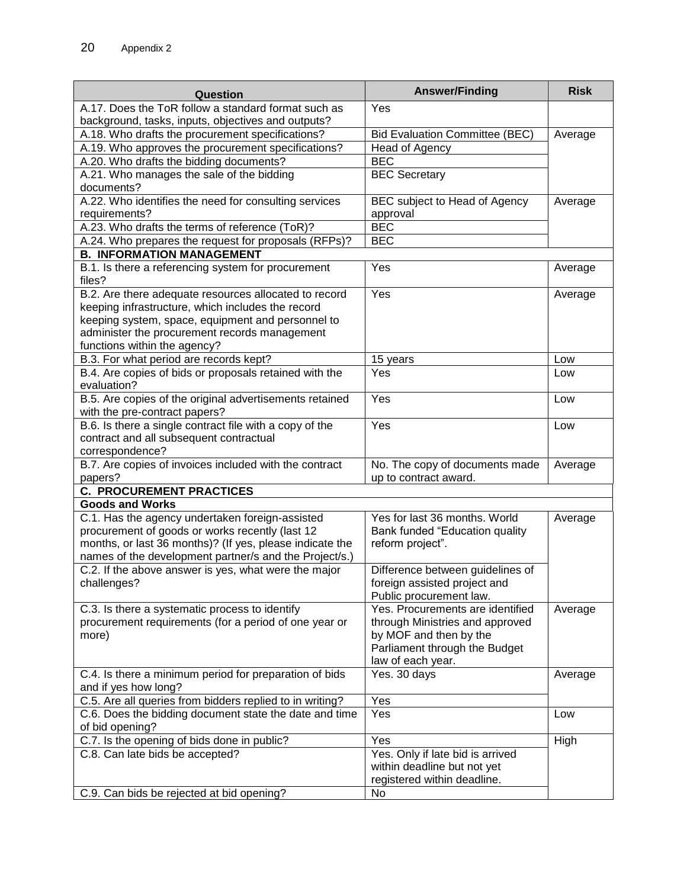| Question                                                 | <b>Answer/Finding</b>                 | <b>Risk</b> |
|----------------------------------------------------------|---------------------------------------|-------------|
| A.17. Does the ToR follow a standard format such as      | Yes                                   |             |
| background, tasks, inputs, objectives and outputs?       |                                       |             |
| A.18. Who drafts the procurement specifications?         | <b>Bid Evaluation Committee (BEC)</b> | Average     |
| A.19. Who approves the procurement specifications?       | Head of Agency                        |             |
| A.20. Who drafts the bidding documents?                  | <b>BEC</b>                            |             |
| A.21. Who manages the sale of the bidding                | <b>BEC Secretary</b>                  |             |
| documents?                                               |                                       |             |
| A.22. Who identifies the need for consulting services    | BEC subject to Head of Agency         | Average     |
| requirements?                                            | approval                              |             |
| A.23. Who drafts the terms of reference (ToR)?           | <b>BEC</b>                            |             |
| A.24. Who prepares the request for proposals (RFPs)?     | <b>BEC</b>                            |             |
| <b>B. INFORMATION MANAGEMENT</b>                         |                                       |             |
| B.1. Is there a referencing system for procurement       | Yes                                   | Average     |
| files?                                                   |                                       |             |
| B.2. Are there adequate resources allocated to record    | Yes                                   | Average     |
| keeping infrastructure, which includes the record        |                                       |             |
| keeping system, space, equipment and personnel to        |                                       |             |
| administer the procurement records management            |                                       |             |
| functions within the agency?                             |                                       |             |
| B.3. For what period are records kept?                   | 15 years                              | Low         |
| B.4. Are copies of bids or proposals retained with the   | Yes                                   | Low         |
| evaluation?                                              |                                       |             |
| B.5. Are copies of the original advertisements retained  | Yes                                   | Low         |
| with the pre-contract papers?                            |                                       |             |
| B.6. Is there a single contract file with a copy of the  | Yes                                   | Low         |
| contract and all subsequent contractual                  |                                       |             |
| correspondence?                                          |                                       |             |
| B.7. Are copies of invoices included with the contract   | No. The copy of documents made        | Average     |
| papers?                                                  | up to contract award.                 |             |
| <b>C. PROCUREMENT PRACTICES</b>                          |                                       |             |
| <b>Goods and Works</b>                                   |                                       |             |
| C.1. Has the agency undertaken foreign-assisted          | Yes for last 36 months. World         | Average     |
| procurement of goods or works recently (last 12          | Bank funded "Education quality        |             |
| months, or last 36 months)? (If yes, please indicate the | reform project".                      |             |
| names of the development partner/s and the Project/s.)   |                                       |             |
| C.2. If the above answer is yes, what were the major     | Difference between guidelines of      |             |
| challenges?                                              | foreign assisted project and          |             |
|                                                          | Public procurement law.               |             |
| C.3. Is there a systematic process to identify           | Yes. Procurements are identified      | Average     |
| procurement requirements (for a period of one year or    | through Ministries and approved       |             |
| more)                                                    | by MOF and then by the                |             |
|                                                          | Parliament through the Budget         |             |
|                                                          | law of each year.                     |             |
| C.4. Is there a minimum period for preparation of bids   | Yes. 30 days                          | Average     |
| and if yes how long?                                     |                                       |             |
| C.5. Are all queries from bidders replied to in writing? | Yes                                   |             |
| C.6. Does the bidding document state the date and time   | Yes                                   | Low         |
| of bid opening?                                          |                                       |             |
| C.7. Is the opening of bids done in public?              | Yes                                   | High        |
| C.8. Can late bids be accepted?                          | Yes. Only if late bid is arrived      |             |
|                                                          | within deadline but not yet           |             |
|                                                          | registered within deadline.           |             |
| C.9. Can bids be rejected at bid opening?                | No                                    |             |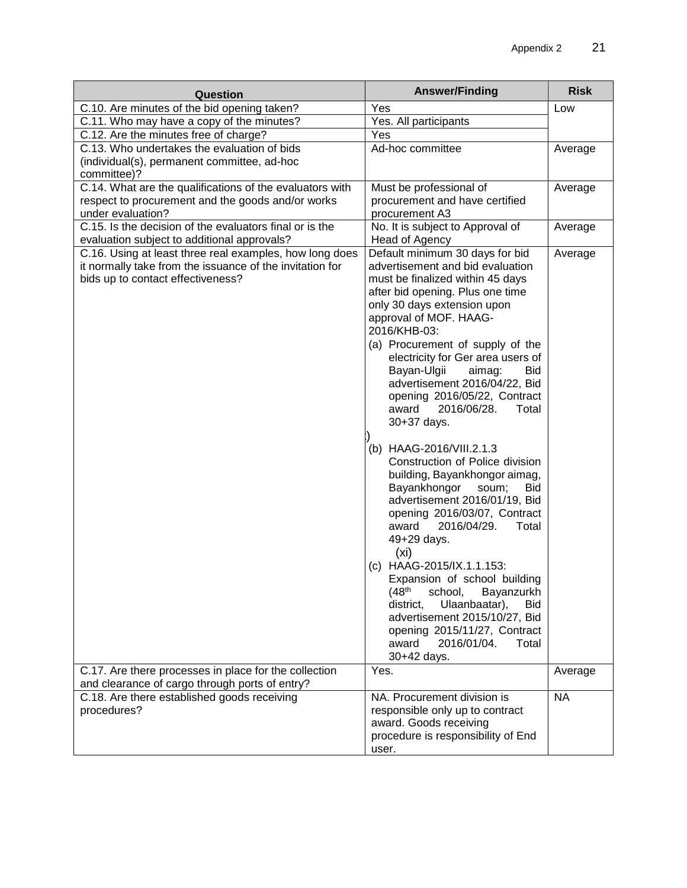| Question                                                                                                                                                 | <b>Answer/Finding</b>                                                                                                                                                                                                                                                                                                                                                                                                                                                                                                                                                                                                                                                                                                                                                                                                                                                                                          | <b>Risk</b> |
|----------------------------------------------------------------------------------------------------------------------------------------------------------|----------------------------------------------------------------------------------------------------------------------------------------------------------------------------------------------------------------------------------------------------------------------------------------------------------------------------------------------------------------------------------------------------------------------------------------------------------------------------------------------------------------------------------------------------------------------------------------------------------------------------------------------------------------------------------------------------------------------------------------------------------------------------------------------------------------------------------------------------------------------------------------------------------------|-------------|
| C.10. Are minutes of the bid opening taken?                                                                                                              | Yes                                                                                                                                                                                                                                                                                                                                                                                                                                                                                                                                                                                                                                                                                                                                                                                                                                                                                                            | Low         |
| C.11. Who may have a copy of the minutes?                                                                                                                | Yes. All participants                                                                                                                                                                                                                                                                                                                                                                                                                                                                                                                                                                                                                                                                                                                                                                                                                                                                                          |             |
| C.12. Are the minutes free of charge?                                                                                                                    | Yes                                                                                                                                                                                                                                                                                                                                                                                                                                                                                                                                                                                                                                                                                                                                                                                                                                                                                                            |             |
| C.13. Who undertakes the evaluation of bids                                                                                                              | Ad-hoc committee                                                                                                                                                                                                                                                                                                                                                                                                                                                                                                                                                                                                                                                                                                                                                                                                                                                                                               | Average     |
| (individual(s), permanent committee, ad-hoc                                                                                                              |                                                                                                                                                                                                                                                                                                                                                                                                                                                                                                                                                                                                                                                                                                                                                                                                                                                                                                                |             |
| committee)?                                                                                                                                              |                                                                                                                                                                                                                                                                                                                                                                                                                                                                                                                                                                                                                                                                                                                                                                                                                                                                                                                |             |
| C.14. What are the qualifications of the evaluators with                                                                                                 | Must be professional of                                                                                                                                                                                                                                                                                                                                                                                                                                                                                                                                                                                                                                                                                                                                                                                                                                                                                        | Average     |
| respect to procurement and the goods and/or works                                                                                                        | procurement and have certified                                                                                                                                                                                                                                                                                                                                                                                                                                                                                                                                                                                                                                                                                                                                                                                                                                                                                 |             |
| under evaluation?                                                                                                                                        | procurement A3                                                                                                                                                                                                                                                                                                                                                                                                                                                                                                                                                                                                                                                                                                                                                                                                                                                                                                 |             |
| C.15. Is the decision of the evaluators final or is the                                                                                                  | No. It is subject to Approval of                                                                                                                                                                                                                                                                                                                                                                                                                                                                                                                                                                                                                                                                                                                                                                                                                                                                               | Average     |
| evaluation subject to additional approvals?                                                                                                              | Head of Agency                                                                                                                                                                                                                                                                                                                                                                                                                                                                                                                                                                                                                                                                                                                                                                                                                                                                                                 |             |
| C.16. Using at least three real examples, how long does<br>it normally take from the issuance of the invitation for<br>bids up to contact effectiveness? | Default minimum 30 days for bid<br>advertisement and bid evaluation<br>must be finalized within 45 days<br>after bid opening. Plus one time<br>only 30 days extension upon<br>approval of MOF. HAAG-<br>2016/KHB-03:<br>(a) Procurement of supply of the<br>electricity for Ger area users of<br>Bayan-Ulgii<br>aimag:<br>Bid<br>advertisement 2016/04/22, Bid<br>opening 2016/05/22, Contract<br>award<br>2016/06/28.<br>Total<br>30+37 days.<br>(b) HAAG-2016/VIII.2.1.3<br>Construction of Police division<br>building, Bayankhongor aimag,<br>Bayankhongor<br>soum;<br><b>Bid</b><br>advertisement 2016/01/19, Bid<br>opening 2016/03/07, Contract<br>2016/04/29.<br>award<br>Total<br>49+29 days.<br>(x <sub>i</sub> )<br>(c) HAAG-2015/IX.1.1.153:<br>Expansion of school building<br>(48 <sup>th</sup> )<br>school,<br>Bayanzurkh<br>district,<br>Ulaanbaatar),<br>Bid<br>advertisement 2015/10/27, Bid | Average     |
|                                                                                                                                                          | opening 2015/11/27, Contract<br>2016/01/04.<br>award<br>Total                                                                                                                                                                                                                                                                                                                                                                                                                                                                                                                                                                                                                                                                                                                                                                                                                                                  |             |
|                                                                                                                                                          | 30+42 days.                                                                                                                                                                                                                                                                                                                                                                                                                                                                                                                                                                                                                                                                                                                                                                                                                                                                                                    |             |
| C.17. Are there processes in place for the collection                                                                                                    | Yes.                                                                                                                                                                                                                                                                                                                                                                                                                                                                                                                                                                                                                                                                                                                                                                                                                                                                                                           | Average     |
| and clearance of cargo through ports of entry?                                                                                                           |                                                                                                                                                                                                                                                                                                                                                                                                                                                                                                                                                                                                                                                                                                                                                                                                                                                                                                                |             |
| C.18. Are there established goods receiving                                                                                                              | NA. Procurement division is                                                                                                                                                                                                                                                                                                                                                                                                                                                                                                                                                                                                                                                                                                                                                                                                                                                                                    | <b>NA</b>   |
| procedures?                                                                                                                                              | responsible only up to contract                                                                                                                                                                                                                                                                                                                                                                                                                                                                                                                                                                                                                                                                                                                                                                                                                                                                                |             |
|                                                                                                                                                          | award. Goods receiving                                                                                                                                                                                                                                                                                                                                                                                                                                                                                                                                                                                                                                                                                                                                                                                                                                                                                         |             |
|                                                                                                                                                          | procedure is responsibility of End                                                                                                                                                                                                                                                                                                                                                                                                                                                                                                                                                                                                                                                                                                                                                                                                                                                                             |             |
|                                                                                                                                                          | user.                                                                                                                                                                                                                                                                                                                                                                                                                                                                                                                                                                                                                                                                                                                                                                                                                                                                                                          |             |
|                                                                                                                                                          |                                                                                                                                                                                                                                                                                                                                                                                                                                                                                                                                                                                                                                                                                                                                                                                                                                                                                                                |             |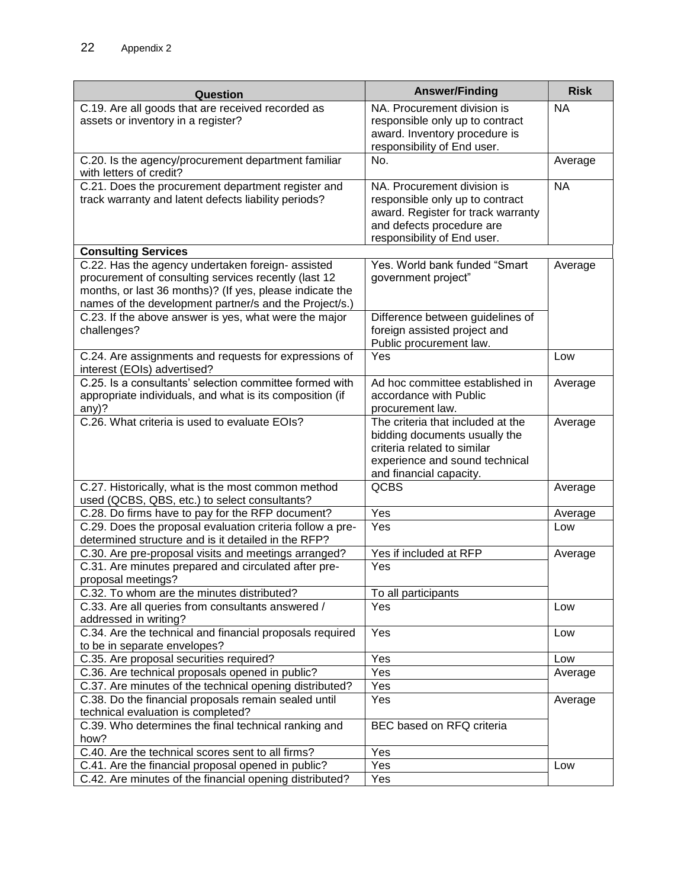| Question                                                                                                  | <b>Answer/Finding</b>              | <b>Risk</b> |
|-----------------------------------------------------------------------------------------------------------|------------------------------------|-------------|
| C.19. Are all goods that are received recorded as                                                         | NA. Procurement division is        | <b>NA</b>   |
| assets or inventory in a register?                                                                        | responsible only up to contract    |             |
|                                                                                                           | award. Inventory procedure is      |             |
|                                                                                                           | responsibility of End user.        |             |
| C.20. Is the agency/procurement department familiar<br>with letters of credit?                            | No.                                | Average     |
| C.21. Does the procurement department register and                                                        | NA. Procurement division is        | <b>NA</b>   |
| track warranty and latent defects liability periods?                                                      | responsible only up to contract    |             |
|                                                                                                           | award. Register for track warranty |             |
|                                                                                                           | and defects procedure are          |             |
|                                                                                                           | responsibility of End user.        |             |
| <b>Consulting Services</b>                                                                                | Yes. World bank funded "Smart      |             |
| C.22. Has the agency undertaken foreign- assisted<br>procurement of consulting services recently (last 12 | government project"                | Average     |
| months, or last 36 months)? (If yes, please indicate the                                                  |                                    |             |
| names of the development partner/s and the Project/s.)                                                    |                                    |             |
| C.23. If the above answer is yes, what were the major                                                     | Difference between guidelines of   |             |
| challenges?                                                                                               | foreign assisted project and       |             |
|                                                                                                           | Public procurement law.            |             |
| C.24. Are assignments and requests for expressions of<br>interest (EOIs) advertised?                      | Yes                                | Low         |
| C.25. Is a consultants' selection committee formed with                                                   | Ad hoc committee established in    | Average     |
| appropriate individuals, and what is its composition (if                                                  | accordance with Public             |             |
| any)?                                                                                                     | procurement law.                   |             |
| C.26. What criteria is used to evaluate EOIs?                                                             | The criteria that included at the  | Average     |
|                                                                                                           | bidding documents usually the      |             |
|                                                                                                           | criteria related to similar        |             |
|                                                                                                           | experience and sound technical     |             |
| C.27. Historically, what is the most common method                                                        | and financial capacity.<br>QCBS    | Average     |
| used (QCBS, QBS, etc.) to select consultants?                                                             |                                    |             |
| C.28. Do firms have to pay for the RFP document?                                                          | Yes                                | Average     |
| C.29. Does the proposal evaluation criteria follow a pre-                                                 | Yes                                | Low         |
| determined structure and is it detailed in the RFP?                                                       |                                    |             |
| C.30. Are pre-proposal visits and meetings arranged?                                                      | Yes if included at RFP             | Average     |
| C.31. Are minutes prepared and circulated after pre-                                                      | Yes                                |             |
| proposal meetings?                                                                                        |                                    |             |
| C.32. To whom are the minutes distributed?                                                                | To all participants                |             |
| C.33. Are all queries from consultants answered /                                                         | Yes                                | Low         |
| addressed in writing?                                                                                     | Yes                                |             |
| C.34. Are the technical and financial proposals required<br>to be in separate envelopes?                  |                                    | Low         |
| C.35. Are proposal securities required?                                                                   | Yes                                | Low         |
| C.36. Are technical proposals opened in public?                                                           | Yes                                | Average     |
| C.37. Are minutes of the technical opening distributed?                                                   | Yes                                |             |
| C.38. Do the financial proposals remain sealed until                                                      | Yes                                | Average     |
| technical evaluation is completed?                                                                        |                                    |             |
| C.39. Who determines the final technical ranking and                                                      | BEC based on RFQ criteria          |             |
| how?                                                                                                      |                                    |             |
| C.40. Are the technical scores sent to all firms?                                                         | $\overline{Y}$ es                  |             |
| C.41. Are the financial proposal opened in public?                                                        | Yes                                | Low         |
| C.42. Are minutes of the financial opening distributed?                                                   | Yes                                |             |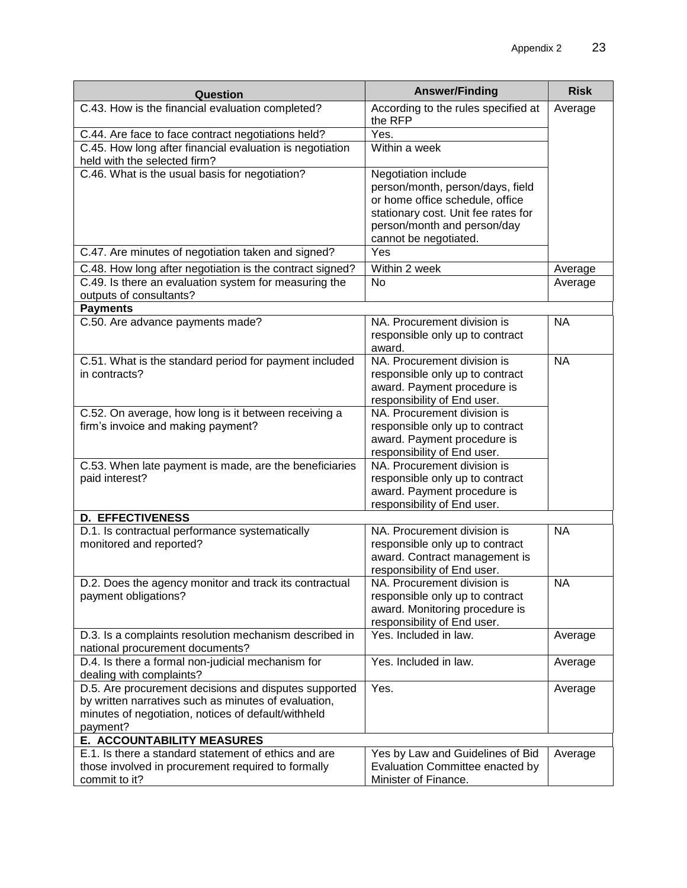| Question                                                                                                                                                                         | <b>Answer/Finding</b>                                                                                                                                                                     | <b>Risk</b> |
|----------------------------------------------------------------------------------------------------------------------------------------------------------------------------------|-------------------------------------------------------------------------------------------------------------------------------------------------------------------------------------------|-------------|
| C.43. How is the financial evaluation completed?                                                                                                                                 | According to the rules specified at<br>the RFP                                                                                                                                            | Average     |
| C.44. Are face to face contract negotiations held?                                                                                                                               | Yes.                                                                                                                                                                                      |             |
| C.45. How long after financial evaluation is negotiation<br>held with the selected firm?                                                                                         | Within a week                                                                                                                                                                             |             |
| C.46. What is the usual basis for negotiation?                                                                                                                                   | Negotiation include<br>person/month, person/days, field<br>or home office schedule, office<br>stationary cost. Unit fee rates for<br>person/month and person/day<br>cannot be negotiated. |             |
| C.47. Are minutes of negotiation taken and signed?                                                                                                                               | Yes                                                                                                                                                                                       |             |
| C.48. How long after negotiation is the contract signed?                                                                                                                         | Within 2 week                                                                                                                                                                             | Average     |
| C.49. Is there an evaluation system for measuring the                                                                                                                            | No                                                                                                                                                                                        | Average     |
| outputs of consultants?                                                                                                                                                          |                                                                                                                                                                                           |             |
| <b>Payments</b>                                                                                                                                                                  |                                                                                                                                                                                           |             |
| C.50. Are advance payments made?                                                                                                                                                 | NA. Procurement division is<br>responsible only up to contract<br>award.                                                                                                                  | <b>NA</b>   |
| C.51. What is the standard period for payment included<br>in contracts?                                                                                                          | NA. Procurement division is<br>responsible only up to contract<br>award. Payment procedure is<br>responsibility of End user.                                                              | <b>NA</b>   |
| C.52. On average, how long is it between receiving a<br>firm's invoice and making payment?                                                                                       | NA. Procurement division is<br>responsible only up to contract<br>award. Payment procedure is<br>responsibility of End user.                                                              |             |
| C.53. When late payment is made, are the beneficiaries<br>paid interest?                                                                                                         | NA. Procurement division is<br>responsible only up to contract<br>award. Payment procedure is<br>responsibility of End user.                                                              |             |
| <b>D. EFFECTIVENESS</b>                                                                                                                                                          |                                                                                                                                                                                           |             |
| D.1. Is contractual performance systematically<br>monitored and reported?                                                                                                        | NA. Procurement division is<br>responsible only up to contract<br>award. Contract management is<br>responsibility of End user.                                                            | <b>NA</b>   |
| D.2. Does the agency monitor and track its contractual<br>payment obligations?                                                                                                   | NA. Procurement division is<br>responsible only up to contract<br>award. Monitoring procedure is<br>responsibility of End user.                                                           | <b>NA</b>   |
| D.3. Is a complaints resolution mechanism described in<br>national procurement documents?                                                                                        | Yes. Included in law.                                                                                                                                                                     | Average     |
| D.4. Is there a formal non-judicial mechanism for<br>dealing with complaints?                                                                                                    | Yes. Included in law.                                                                                                                                                                     | Average     |
| D.5. Are procurement decisions and disputes supported<br>by written narratives such as minutes of evaluation,<br>minutes of negotiation, notices of default/withheld<br>payment? | Yes.                                                                                                                                                                                      | Average     |
| E. ACCOUNTABILITY MEASURES                                                                                                                                                       |                                                                                                                                                                                           |             |
| E.1. Is there a standard statement of ethics and are<br>those involved in procurement required to formally<br>commit to it?                                                      | Yes by Law and Guidelines of Bid<br>Evaluation Committee enacted by<br>Minister of Finance.                                                                                               | Average     |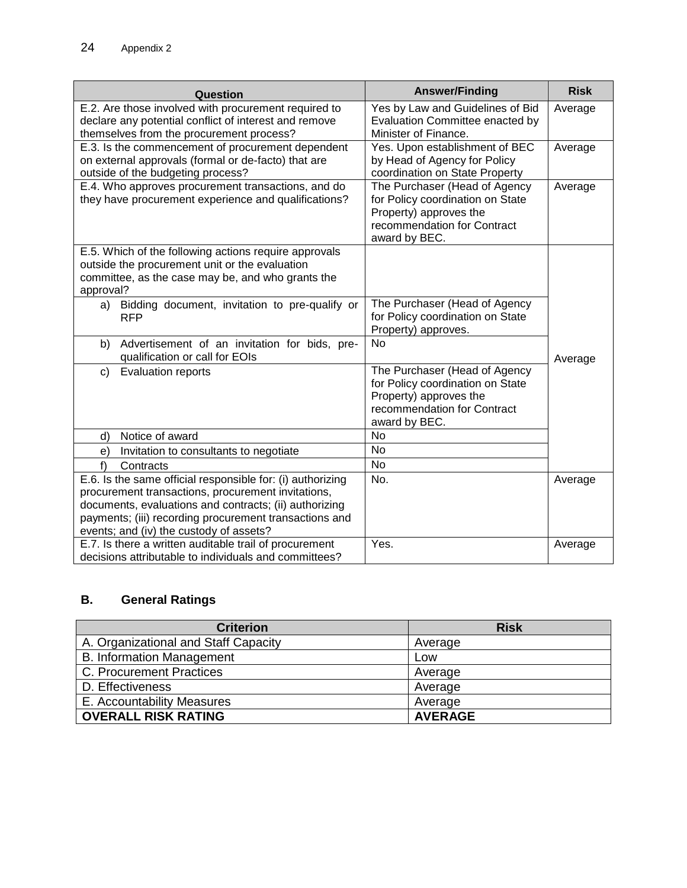| Question                                                                                                                                                                                                                                                                        | <b>Answer/Finding</b>                                                                                                                       | <b>Risk</b> |
|---------------------------------------------------------------------------------------------------------------------------------------------------------------------------------------------------------------------------------------------------------------------------------|---------------------------------------------------------------------------------------------------------------------------------------------|-------------|
| E.2. Are those involved with procurement required to<br>declare any potential conflict of interest and remove<br>themselves from the procurement process?                                                                                                                       | Yes by Law and Guidelines of Bid<br>Evaluation Committee enacted by<br>Minister of Finance.                                                 | Average     |
| E.3. Is the commencement of procurement dependent<br>on external approvals (formal or de-facto) that are<br>outside of the budgeting process?                                                                                                                                   | Yes. Upon establishment of BEC<br>by Head of Agency for Policy<br>coordination on State Property                                            | Average     |
| E.4. Who approves procurement transactions, and do<br>they have procurement experience and qualifications?                                                                                                                                                                      | The Purchaser (Head of Agency<br>for Policy coordination on State<br>Property) approves the<br>recommendation for Contract<br>award by BEC. | Average     |
| E.5. Which of the following actions require approvals<br>outside the procurement unit or the evaluation<br>committee, as the case may be, and who grants the<br>approval?                                                                                                       |                                                                                                                                             |             |
| Bidding document, invitation to pre-qualify or<br>a)<br><b>RFP</b>                                                                                                                                                                                                              | The Purchaser (Head of Agency<br>for Policy coordination on State<br>Property) approves.                                                    |             |
| Advertisement of an invitation for bids, pre-<br>b)<br>qualification or call for EOIs                                                                                                                                                                                           | <b>No</b>                                                                                                                                   | Average     |
| <b>Evaluation reports</b><br>c)                                                                                                                                                                                                                                                 | The Purchaser (Head of Agency<br>for Policy coordination on State<br>Property) approves the<br>recommendation for Contract<br>award by BEC. |             |
| Notice of award<br>d)                                                                                                                                                                                                                                                           | No                                                                                                                                          |             |
| Invitation to consultants to negotiate<br>e)                                                                                                                                                                                                                                    | No                                                                                                                                          |             |
| f<br>Contracts                                                                                                                                                                                                                                                                  | <b>No</b>                                                                                                                                   |             |
| E.6. Is the same official responsible for: (i) authorizing<br>procurement transactions, procurement invitations,<br>documents, evaluations and contracts; (ii) authorizing<br>payments; (iii) recording procurement transactions and<br>events; and (iv) the custody of assets? | No.                                                                                                                                         | Average     |
| E.7. Is there a written auditable trail of procurement<br>decisions attributable to individuals and committees?                                                                                                                                                                 | Yes.                                                                                                                                        | Average     |

# **B. General Ratings**

| <b>Criterion</b>                     | <b>Risk</b>    |
|--------------------------------------|----------------|
| A. Organizational and Staff Capacity | Average        |
| <b>B. Information Management</b>     | Low            |
| C. Procurement Practices             | Average        |
| D. Effectiveness                     | Average        |
| E. Accountability Measures           | Average        |
| <b>OVERALL RISK RATING</b>           | <b>AVERAGE</b> |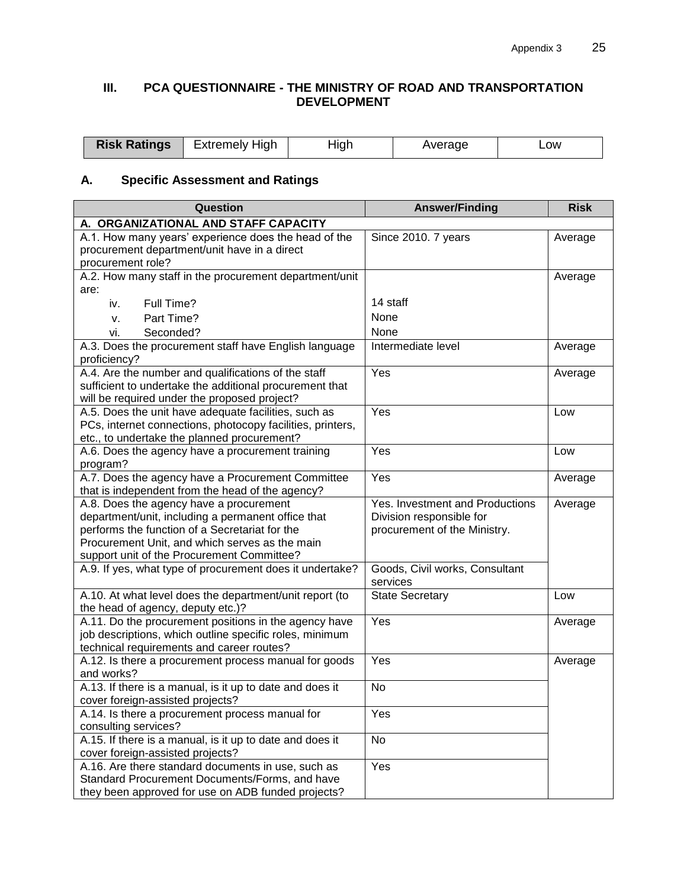# **III. PCA QUESTIONNAIRE - THE MINISTRY OF ROAD AND TRANSPORTATION DEVELOPMENT**

| <b>Risk Ratings</b> | Extremely High | tıar | average | _ow<br>_____ |
|---------------------|----------------|------|---------|--------------|
|---------------------|----------------|------|---------|--------------|

# **A. Specific Assessment and Ratings**

| Question                                                                                                                                                                                                                                        | <b>Answer/Finding</b>                                                                       | <b>Risk</b> |
|-------------------------------------------------------------------------------------------------------------------------------------------------------------------------------------------------------------------------------------------------|---------------------------------------------------------------------------------------------|-------------|
| A. ORGANIZATIONAL AND STAFF CAPACITY                                                                                                                                                                                                            |                                                                                             |             |
| A.1. How many years' experience does the head of the<br>procurement department/unit have in a direct<br>procurement role?                                                                                                                       | Since 2010. 7 years                                                                         | Average     |
| A.2. How many staff in the procurement department/unit<br>are:                                                                                                                                                                                  |                                                                                             | Average     |
| Full Time?<br>iv.                                                                                                                                                                                                                               | 14 staff                                                                                    |             |
| Part Time?<br>v.                                                                                                                                                                                                                                | None                                                                                        |             |
| Seconded?<br>vi.                                                                                                                                                                                                                                | None                                                                                        |             |
| A.3. Does the procurement staff have English language<br>proficiency?                                                                                                                                                                           | Intermediate level                                                                          | Average     |
| A.4. Are the number and qualifications of the staff                                                                                                                                                                                             | Yes                                                                                         | Average     |
| sufficient to undertake the additional procurement that<br>will be required under the proposed project?                                                                                                                                         |                                                                                             |             |
| A.5. Does the unit have adequate facilities, such as                                                                                                                                                                                            | Yes                                                                                         | Low         |
| PCs, internet connections, photocopy facilities, printers,<br>etc., to undertake the planned procurement?                                                                                                                                       |                                                                                             |             |
| A.6. Does the agency have a procurement training<br>program?                                                                                                                                                                                    | Yes                                                                                         | Low         |
| A.7. Does the agency have a Procurement Committee<br>that is independent from the head of the agency?                                                                                                                                           | Yes                                                                                         | Average     |
| A.8. Does the agency have a procurement<br>department/unit, including a permanent office that<br>performs the function of a Secretariat for the<br>Procurement Unit, and which serves as the main<br>support unit of the Procurement Committee? | Yes. Investment and Productions<br>Division responsible for<br>procurement of the Ministry. | Average     |
| A.9. If yes, what type of procurement does it undertake?                                                                                                                                                                                        | Goods, Civil works, Consultant<br>services                                                  |             |
| A.10. At what level does the department/unit report (to<br>the head of agency, deputy etc.)?                                                                                                                                                    | <b>State Secretary</b>                                                                      | Low         |
| A.11. Do the procurement positions in the agency have<br>job descriptions, which outline specific roles, minimum<br>technical requirements and career routes?                                                                                   | Yes                                                                                         | Average     |
| A.12. Is there a procurement process manual for goods<br>and works?                                                                                                                                                                             | Yes                                                                                         | Average     |
| A.13. If there is a manual, is it up to date and does it<br>cover foreign-assisted projects?                                                                                                                                                    | No                                                                                          |             |
| A.14. Is there a procurement process manual for<br>consulting services?                                                                                                                                                                         | Yes                                                                                         |             |
| A.15. If there is a manual, is it up to date and does it<br>cover foreign-assisted projects?                                                                                                                                                    | No                                                                                          |             |
| A.16. Are there standard documents in use, such as<br>Standard Procurement Documents/Forms, and have<br>they been approved for use on ADB funded projects?                                                                                      | Yes                                                                                         |             |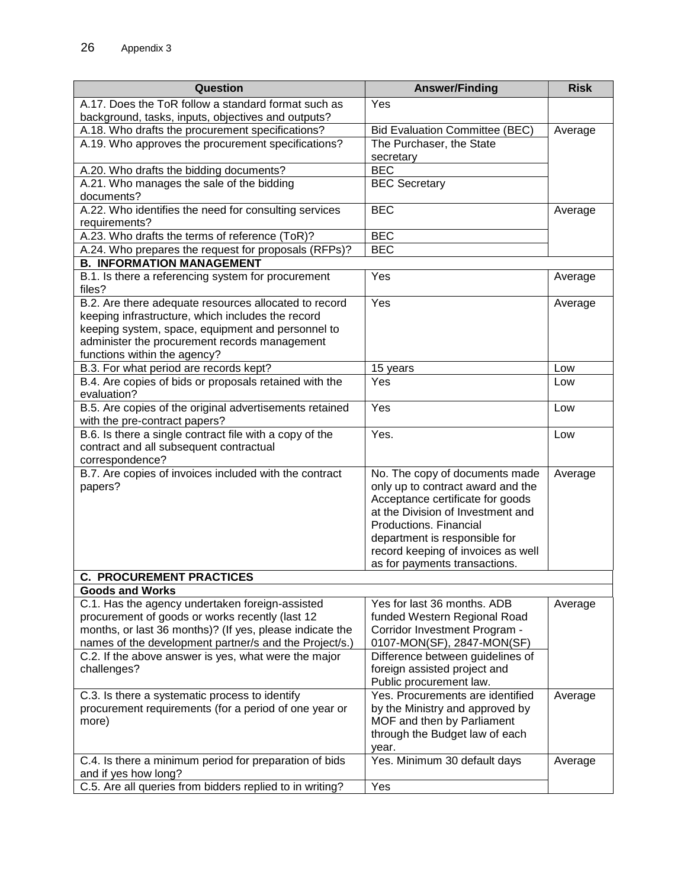| Question                                                     | <b>Answer/Finding</b>                 | <b>Risk</b> |
|--------------------------------------------------------------|---------------------------------------|-------------|
| A.17. Does the ToR follow a standard format such as          | Yes                                   |             |
| background, tasks, inputs, objectives and outputs?           |                                       |             |
| A.18. Who drafts the procurement specifications?             | <b>Bid Evaluation Committee (BEC)</b> | Average     |
| A.19. Who approves the procurement specifications?           | The Purchaser, the State              |             |
|                                                              | secretary                             |             |
| A.20. Who drafts the bidding documents?                      | <b>BEC</b>                            |             |
| A.21. Who manages the sale of the bidding                    | <b>BEC</b> Secretary                  |             |
| documents?                                                   |                                       |             |
| A.22. Who identifies the need for consulting services        | <b>BEC</b>                            | Average     |
| requirements?                                                |                                       |             |
| A.23. Who drafts the terms of reference (ToR)?               | <b>BEC</b>                            |             |
| A.24. Who prepares the request for proposals (RFPs)?         | <b>BEC</b>                            |             |
| <b>B. INFORMATION MANAGEMENT</b>                             |                                       |             |
| B.1. Is there a referencing system for procurement<br>files? | Yes                                   | Average     |
| B.2. Are there adequate resources allocated to record        | Yes                                   | Average     |
| keeping infrastructure, which includes the record            |                                       |             |
| keeping system, space, equipment and personnel to            |                                       |             |
| administer the procurement records management                |                                       |             |
| functions within the agency?                                 |                                       |             |
| B.3. For what period are records kept?                       | 15 years                              | Low         |
| B.4. Are copies of bids or proposals retained with the       | Yes                                   | Low         |
| evaluation?                                                  |                                       |             |
| B.5. Are copies of the original advertisements retained      | Yes                                   | Low         |
| with the pre-contract papers?                                |                                       |             |
| B.6. Is there a single contract file with a copy of the      | Yes.                                  | Low         |
| contract and all subsequent contractual                      |                                       |             |
| correspondence?                                              |                                       |             |
| B.7. Are copies of invoices included with the contract       | No. The copy of documents made        | Average     |
| papers?                                                      | only up to contract award and the     |             |
|                                                              | Acceptance certificate for goods      |             |
|                                                              | at the Division of Investment and     |             |
|                                                              | Productions, Financial                |             |
|                                                              | department is responsible for         |             |
|                                                              | record keeping of invoices as well    |             |
| <b>C. PROCUREMENT PRACTICES</b>                              | as for payments transactions.         |             |
| <b>Goods and Works</b>                                       |                                       |             |
| C.1. Has the agency undertaken foreign-assisted              | Yes for last 36 months. ADB           | Average     |
| procurement of goods or works recently (last 12              | funded Western Regional Road          |             |
| months, or last 36 months)? (If yes, please indicate the     | Corridor Investment Program -         |             |
| names of the development partner/s and the Project/s.)       | 0107-MON(SF), 2847-MON(SF)            |             |
| C.2. If the above answer is yes, what were the major         | Difference between guidelines of      |             |
| challenges?                                                  | foreign assisted project and          |             |
|                                                              | Public procurement law.               |             |
| C.3. Is there a systematic process to identify               | Yes. Procurements are identified      | Average     |
| procurement requirements (for a period of one year or        | by the Ministry and approved by       |             |
| more)                                                        | MOF and then by Parliament            |             |
|                                                              | through the Budget law of each        |             |
|                                                              | year.                                 |             |
| C.4. Is there a minimum period for preparation of bids       | Yes. Minimum 30 default days          | Average     |
| and if yes how long?                                         |                                       |             |
| C.5. Are all queries from bidders replied to in writing?     | Yes                                   |             |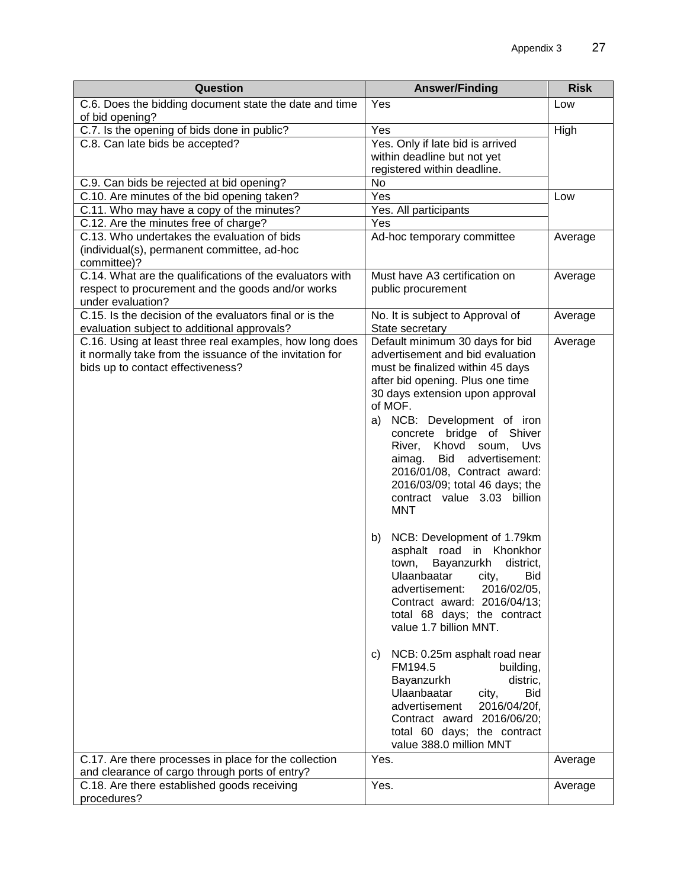| Question                                                                                                                                                 | <b>Answer/Finding</b>                                                                                                                                                                                                                                                                                                                                                                                                                     | <b>Risk</b> |
|----------------------------------------------------------------------------------------------------------------------------------------------------------|-------------------------------------------------------------------------------------------------------------------------------------------------------------------------------------------------------------------------------------------------------------------------------------------------------------------------------------------------------------------------------------------------------------------------------------------|-------------|
| C.6. Does the bidding document state the date and time<br>of bid opening?                                                                                | Yes                                                                                                                                                                                                                                                                                                                                                                                                                                       | Low         |
| C.7. Is the opening of bids done in public?                                                                                                              | Yes                                                                                                                                                                                                                                                                                                                                                                                                                                       | High        |
| C.8. Can late bids be accepted?                                                                                                                          | Yes. Only if late bid is arrived                                                                                                                                                                                                                                                                                                                                                                                                          |             |
|                                                                                                                                                          | within deadline but not yet                                                                                                                                                                                                                                                                                                                                                                                                               |             |
|                                                                                                                                                          | registered within deadline.                                                                                                                                                                                                                                                                                                                                                                                                               |             |
| C.9. Can bids be rejected at bid opening?                                                                                                                | No                                                                                                                                                                                                                                                                                                                                                                                                                                        |             |
| C.10. Are minutes of the bid opening taken?                                                                                                              | Yes                                                                                                                                                                                                                                                                                                                                                                                                                                       | Low         |
| C.11. Who may have a copy of the minutes?                                                                                                                | Yes. All participants                                                                                                                                                                                                                                                                                                                                                                                                                     |             |
| C.12. Are the minutes free of charge?                                                                                                                    | Yes                                                                                                                                                                                                                                                                                                                                                                                                                                       |             |
| C.13. Who undertakes the evaluation of bids<br>(individual(s), permanent committee, ad-hoc<br>committee)?                                                | Ad-hoc temporary committee                                                                                                                                                                                                                                                                                                                                                                                                                | Average     |
| C.14. What are the qualifications of the evaluators with                                                                                                 | Must have A3 certification on                                                                                                                                                                                                                                                                                                                                                                                                             | Average     |
| respect to procurement and the goods and/or works                                                                                                        | public procurement                                                                                                                                                                                                                                                                                                                                                                                                                        |             |
| under evaluation?                                                                                                                                        |                                                                                                                                                                                                                                                                                                                                                                                                                                           |             |
| C.15. Is the decision of the evaluators final or is the                                                                                                  | No. It is subject to Approval of                                                                                                                                                                                                                                                                                                                                                                                                          | Average     |
| evaluation subject to additional approvals?                                                                                                              | State secretary                                                                                                                                                                                                                                                                                                                                                                                                                           |             |
| C.16. Using at least three real examples, how long does<br>it normally take from the issuance of the invitation for<br>bids up to contact effectiveness? | Default minimum 30 days for bid<br>advertisement and bid evaluation<br>must be finalized within 45 days<br>after bid opening. Plus one time<br>30 days extension upon approval<br>of MOF.<br>NCB: Development of iron<br>a)<br>concrete bridge of Shiver<br>Khovd soum,<br>River,<br>Uvs<br>Bid<br>advertisement:<br>aimag.<br>2016/01/08, Contract award:<br>2016/03/09; total 46 days; the<br>contract value 3.03 billion<br><b>MNT</b> | Average     |
|                                                                                                                                                          | NCB: Development of 1.79km<br>b)<br>asphalt road in Khonkhor<br>Bayanzurkh<br>district,<br>town,<br>Ulaanbaatar<br>Bid<br>city,<br>2016/02/05,<br>advertisement:<br>Contract award: 2016/04/13;<br>total 68 days; the contract<br>value 1.7 billion MNT.                                                                                                                                                                                  |             |
|                                                                                                                                                          | NCB: 0.25m asphalt road near<br>C)<br>FM194.5<br>building,<br>Bayanzurkh<br>distric,<br>Ulaanbaatar<br><b>Bid</b><br>city,<br>2016/04/20f,<br>advertisement<br>Contract award 2016/06/20;<br>total 60 days; the contract<br>value 388.0 million MNT                                                                                                                                                                                       |             |
| C.17. Are there processes in place for the collection                                                                                                    | Yes.                                                                                                                                                                                                                                                                                                                                                                                                                                      | Average     |
| and clearance of cargo through ports of entry?                                                                                                           |                                                                                                                                                                                                                                                                                                                                                                                                                                           |             |
| C.18. Are there established goods receiving                                                                                                              | Yes.                                                                                                                                                                                                                                                                                                                                                                                                                                      | Average     |
| procedures?                                                                                                                                              |                                                                                                                                                                                                                                                                                                                                                                                                                                           |             |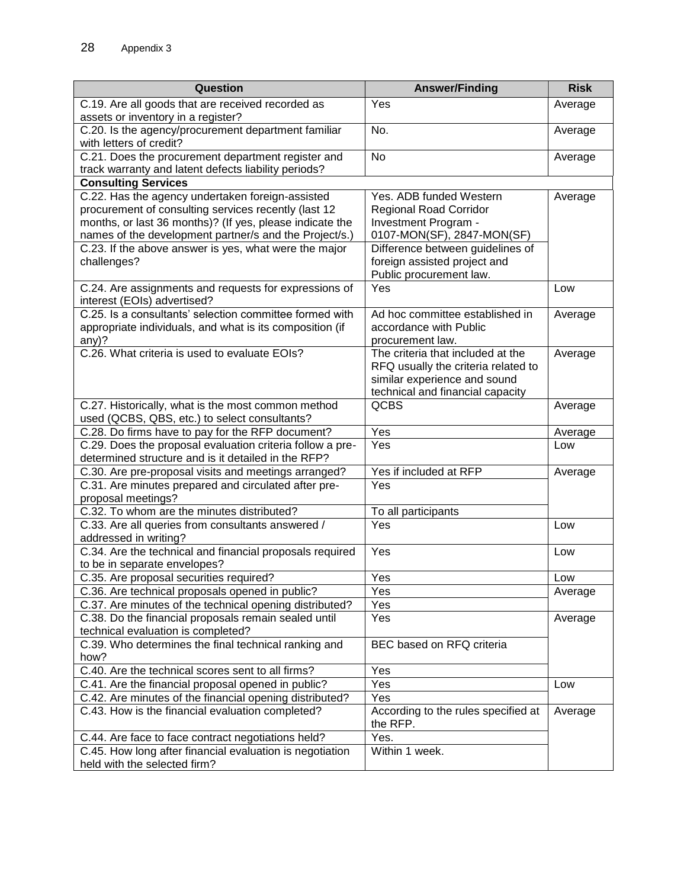| Question                                                                                                 | <b>Answer/Finding</b>                                               | <b>Risk</b> |
|----------------------------------------------------------------------------------------------------------|---------------------------------------------------------------------|-------------|
| C.19. Are all goods that are received recorded as                                                        | Yes                                                                 | Average     |
| assets or inventory in a register?                                                                       |                                                                     |             |
| C.20. Is the agency/procurement department familiar                                                      | No.                                                                 | Average     |
| with letters of credit?                                                                                  |                                                                     |             |
| C.21. Does the procurement department register and                                                       | No                                                                  | Average     |
| track warranty and latent defects liability periods?                                                     |                                                                     |             |
| <b>Consulting Services</b>                                                                               | Yes. ADB funded Western                                             |             |
| C.22. Has the agency undertaken foreign-assisted<br>procurement of consulting services recently (last 12 | <b>Regional Road Corridor</b>                                       | Average     |
| months, or last 36 months)? (If yes, please indicate the                                                 | Investment Program -                                                |             |
| names of the development partner/s and the Project/s.)                                                   | 0107-MON(SF), 2847-MON(SF)                                          |             |
| C.23. If the above answer is yes, what were the major                                                    | Difference between guidelines of                                    |             |
| challenges?                                                                                              | foreign assisted project and                                        |             |
|                                                                                                          | Public procurement law.                                             |             |
| C.24. Are assignments and requests for expressions of                                                    | Yes                                                                 | Low         |
| interest (EOIs) advertised?                                                                              |                                                                     |             |
| C.25. Is a consultants' selection committee formed with                                                  | Ad hoc committee established in                                     | Average     |
| appropriate individuals, and what is its composition (if                                                 | accordance with Public                                              |             |
| any)?                                                                                                    | procurement law.                                                    |             |
| C.26. What criteria is used to evaluate EOIs?                                                            | The criteria that included at the                                   | Average     |
|                                                                                                          | RFQ usually the criteria related to<br>similar experience and sound |             |
|                                                                                                          | technical and financial capacity                                    |             |
| C.27. Historically, what is the most common method                                                       | <b>QCBS</b>                                                         | Average     |
| used (QCBS, QBS, etc.) to select consultants?                                                            |                                                                     |             |
| C.28. Do firms have to pay for the RFP document?                                                         | Yes                                                                 | Average     |
| C.29. Does the proposal evaluation criteria follow a pre-                                                | Yes                                                                 | Low         |
| determined structure and is it detailed in the RFP?                                                      |                                                                     |             |
| C.30. Are pre-proposal visits and meetings arranged?                                                     | Yes if included at RFP                                              | Average     |
| C.31. Are minutes prepared and circulated after pre-                                                     | Yes                                                                 |             |
| proposal meetings?<br>C.32. To whom are the minutes distributed?                                         |                                                                     |             |
| C.33. Are all queries from consultants answered /                                                        | To all participants<br>Yes                                          | Low         |
| addressed in writing?                                                                                    |                                                                     |             |
| C.34. Are the technical and financial proposals required                                                 | Yes                                                                 | Low         |
| to be in separate envelopes?                                                                             |                                                                     |             |
| C.35. Are proposal securities required?                                                                  | Yes                                                                 | Low         |
| C.36. Are technical proposals opened in public?                                                          | Yes                                                                 | Average     |
| C.37. Are minutes of the technical opening distributed?                                                  | Yes                                                                 |             |
| C.38. Do the financial proposals remain sealed until                                                     | Yes                                                                 | Average     |
| technical evaluation is completed?                                                                       |                                                                     |             |
| C.39. Who determines the final technical ranking and                                                     | BEC based on RFQ criteria                                           |             |
| how?                                                                                                     |                                                                     |             |
| C.40. Are the technical scores sent to all firms?<br>C.41. Are the financial proposal opened in public?  | Yes<br>Yes                                                          | Low         |
| C.42. Are minutes of the financial opening distributed?                                                  | Yes                                                                 |             |
| C.43. How is the financial evaluation completed?                                                         | According to the rules specified at                                 | Average     |
|                                                                                                          | the RFP.                                                            |             |
| C.44. Are face to face contract negotiations held?                                                       | Yes.                                                                |             |
| C.45. How long after financial evaluation is negotiation                                                 | Within 1 week.                                                      |             |
| held with the selected firm?                                                                             |                                                                     |             |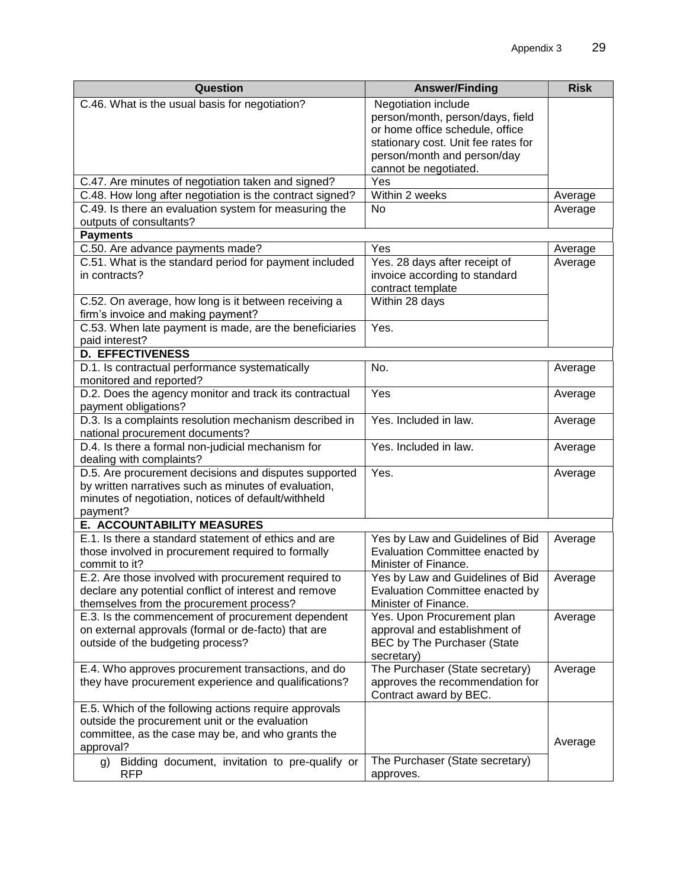| Question                                                                                     | <b>Answer/Finding</b>               | <b>Risk</b> |
|----------------------------------------------------------------------------------------------|-------------------------------------|-------------|
| C.46. What is the usual basis for negotiation?                                               | Negotiation include                 |             |
|                                                                                              | person/month, person/days, field    |             |
|                                                                                              | or home office schedule, office     |             |
|                                                                                              | stationary cost. Unit fee rates for |             |
|                                                                                              | person/month and person/day         |             |
|                                                                                              | cannot be negotiated.               |             |
| C.47. Are minutes of negotiation taken and signed?                                           | Yes                                 |             |
| C.48. How long after negotiation is the contract signed?                                     | Within 2 weeks<br><b>No</b>         | Average     |
| C.49. Is there an evaluation system for measuring the<br>outputs of consultants?             |                                     | Average     |
| <b>Payments</b>                                                                              |                                     |             |
| C.50. Are advance payments made?                                                             | Yes                                 | Average     |
| C.51. What is the standard period for payment included                                       | Yes. 28 days after receipt of       | Average     |
| in contracts?                                                                                | invoice according to standard       |             |
|                                                                                              | contract template                   |             |
| C.52. On average, how long is it between receiving a                                         | Within 28 days                      |             |
| firm's invoice and making payment?<br>C.53. When late payment is made, are the beneficiaries | $\overline{Yes}$ .                  |             |
| paid interest?                                                                               |                                     |             |
| <b>D. EFFECTIVENESS</b>                                                                      |                                     |             |
| D.1. Is contractual performance systematically                                               | No.                                 | Average     |
| monitored and reported?                                                                      |                                     |             |
| D.2. Does the agency monitor and track its contractual<br>payment obligations?               | Yes                                 | Average     |
| D.3. Is a complaints resolution mechanism described in<br>national procurement documents?    | Yes. Included in law.               | Average     |
| D.4. Is there a formal non-judicial mechanism for                                            | Yes. Included in law.               | Average     |
| dealing with complaints?                                                                     |                                     |             |
| D.5. Are procurement decisions and disputes supported                                        | Yes.                                | Average     |
| by written narratives such as minutes of evaluation,                                         |                                     |             |
| minutes of negotiation, notices of default/withheld                                          |                                     |             |
| payment?                                                                                     |                                     |             |
| E. ACCOUNTABILITY MEASURES<br>E.1. Is there a standard statement of ethics and are           | Yes by Law and Guidelines of Bid    |             |
| those involved in procurement required to formally                                           | Evaluation Committee enacted by     | Average     |
| commit to it?                                                                                | Minister of Finance.                |             |
| E.2. Are those involved with procurement required to                                         | Yes by Law and Guidelines of Bid    | Average     |
| declare any potential conflict of interest and remove                                        | Evaluation Committee enacted by     |             |
| themselves from the procurement process?                                                     | Minister of Finance.                |             |
| E.3. Is the commencement of procurement dependent                                            | Yes. Upon Procurement plan          | Average     |
| on external approvals (formal or de-facto) that are                                          | approval and establishment of       |             |
| outside of the budgeting process?                                                            | BEC by The Purchaser (State         |             |
|                                                                                              | secretary)                          |             |
| E.4. Who approves procurement transactions, and do                                           | The Purchaser (State secretary)     | Average     |
| they have procurement experience and qualifications?                                         | approves the recommendation for     |             |
|                                                                                              | Contract award by BEC.              |             |
| E.5. Which of the following actions require approvals                                        |                                     |             |
| outside the procurement unit or the evaluation                                               |                                     |             |
| committee, as the case may be, and who grants the<br>approval?                               |                                     | Average     |
| Bidding document, invitation to pre-qualify or                                               | The Purchaser (State secretary)     |             |
| g)<br><b>RFP</b>                                                                             | approves.                           |             |
|                                                                                              |                                     |             |